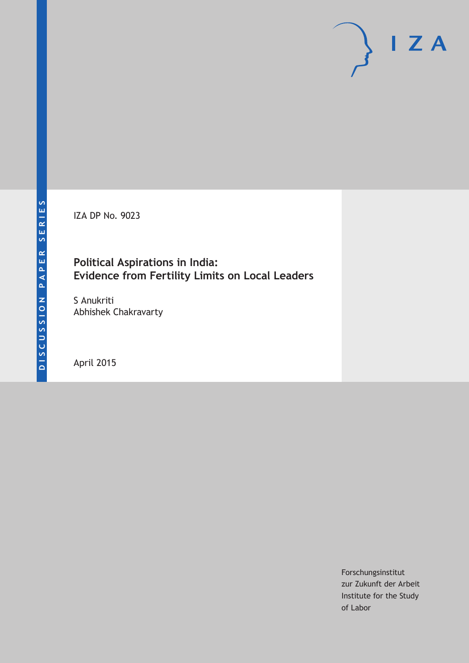IZA DP No. 9023

## **Political Aspirations in India: Evidence from Fertility Limits on Local Leaders**

S Anukriti Abhishek Chakravarty

April 2015

Forschungsinstitut zur Zukunft der Arbeit Institute for the Study of Labor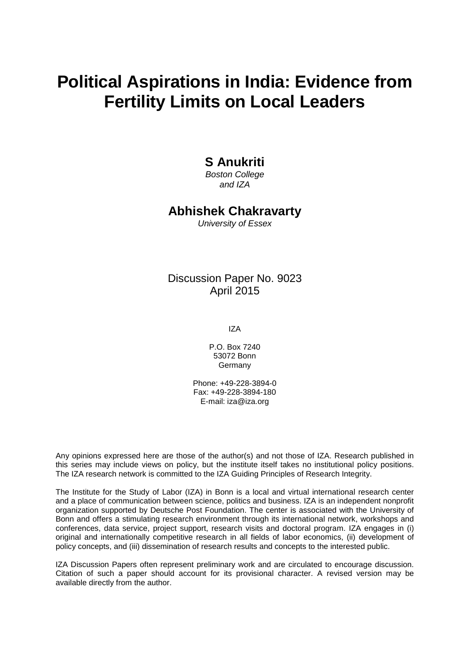# **Political Aspirations in India: Evidence from Fertility Limits on Local Leaders**

### **S Anukriti**

*Boston College and IZA*

#### **Abhishek Chakravarty**

*University of Essex*

Discussion Paper No. 9023 April 2015

IZA

P.O. Box 7240 53072 Bonn Germany

Phone: +49-228-3894-0 Fax: +49-228-3894-180 E-mail: iza@iza.org

Any opinions expressed here are those of the author(s) and not those of IZA. Research published in this series may include views on policy, but the institute itself takes no institutional policy positions. The IZA research network is committed to the IZA Guiding Principles of Research Integrity.

The Institute for the Study of Labor (IZA) in Bonn is a local and virtual international research center and a place of communication between science, politics and business. IZA is an independent nonprofit organization supported by Deutsche Post Foundation. The center is associated with the University of Bonn and offers a stimulating research environment through its international network, workshops and conferences, data service, project support, research visits and doctoral program. IZA engages in (i) original and internationally competitive research in all fields of labor economics, (ii) development of policy concepts, and (iii) dissemination of research results and concepts to the interested public.

<span id="page-1-0"></span>IZA Discussion Papers often represent preliminary work and are circulated to encourage discussion. Citation of such a paper should account for its provisional character. A revised version may be available directly from the author.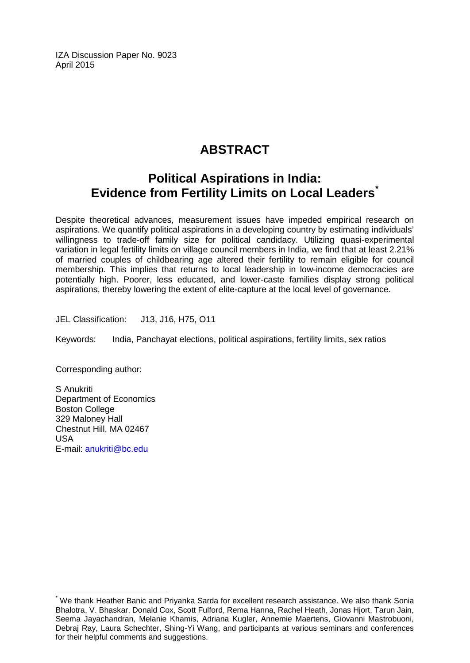IZA Discussion Paper No. 9023 April 2015

# **ABSTRACT**

# **Political Aspirations in India: Evidence from Fertility Limits on Local Leaders[\\*](#page-1-0)**

Despite theoretical advances, measurement issues have impeded empirical research on aspirations. We quantify political aspirations in a developing country by estimating individuals' willingness to trade-off family size for political candidacy. Utilizing quasi-experimental variation in legal fertility limits on village council members in India, we find that at least 2.21% of married couples of childbearing age altered their fertility to remain eligible for council membership. This implies that returns to local leadership in low-income democracies are potentially high. Poorer, less educated, and lower-caste families display strong political aspirations, thereby lowering the extent of elite-capture at the local level of governance.

JEL Classification: J13, J16, H75, O11

Keywords: India, Panchayat elections, political aspirations, fertility limits, sex ratios

Corresponding author:

S Anukriti Department of Economics Boston College 329 Maloney Hall Chestnut Hill, MA 02467 USA E-mail: [anukriti@bc.edu](mailto:anukriti@bc.edu)

We thank Heather Banic and Priyanka Sarda for excellent research assistance. We also thank Sonia Bhalotra, V. Bhaskar, Donald Cox, Scott Fulford, Rema Hanna, Rachel Heath, Jonas Hjort, Tarun Jain, Seema Jayachandran, Melanie Khamis, Adriana Kugler, Annemie Maertens, Giovanni Mastrobuoni, Debraj Ray, Laura Schechter, Shing-Yi Wang, and participants at various seminars and conferences for their helpful comments and suggestions.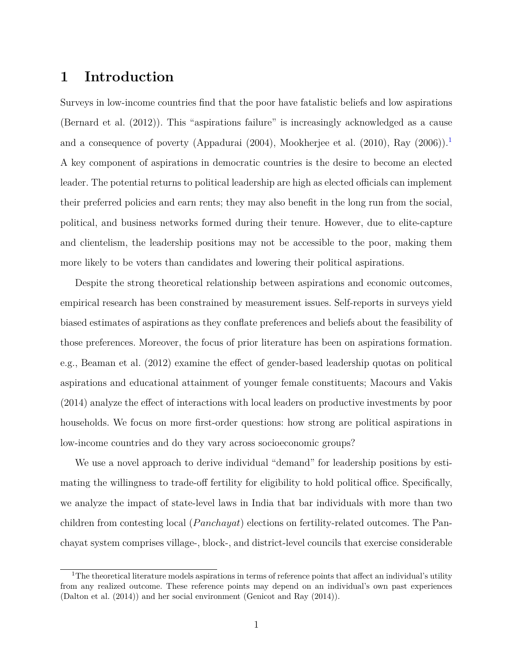## **1 Introduction**

Surveys in low-income countries find that the poor have fatalistic beliefs and low aspirations [\(Bernard et al.](#page-26-0) [\(2012\)](#page-26-0)). This "aspirations failure" is increasingly acknowledged as a cause and a consequence of poverty [\(Appadurai](#page-25-0) [\(2004\)](#page-25-0), [Mookherjee et al.](#page-27-0) [\(2010\)](#page-27-0), [Ray](#page-27-1) [\(2006\)](#page-27-1)).<sup>[1](#page-3-0)</sup> A key component of aspirations in democratic countries is the desire to become an elected leader. The potential returns to political leadership are high as elected officials can implement their preferred policies and earn rents; they may also benefit in the long run from the social, political, and business networks formed during their tenure. However, due to elite-capture and clientelism, the leadership positions may not be accessible to the poor, making them more likely to be voters than candidates and lowering their political aspirations.

Despite the strong theoretical relationship between aspirations and economic outcomes, empirical research has been constrained by measurement issues. Self-reports in surveys yield biased estimates of aspirations as they conflate preferences and beliefs about the feasibility of those preferences. Moreover, the focus of prior literature has been on aspirations formation. e.g., [Beaman et al.](#page-26-1) [\(2012\)](#page-26-1) examine the effect of gender-based leadership quotas on political aspirations and educational attainment of younger female constituents; [Macours and Vakis](#page-27-2) [\(2014\)](#page-27-2) analyze the effect of interactions with local leaders on productive investments by poor households. We focus on more first-order questions: how strong are political aspirations in low-income countries and do they vary across socioeconomic groups?

We use a novel approach to derive individual "demand" for leadership positions by estimating the willingness to trade-off fertility for eligibility to hold political office. Specifically, we analyze the impact of state-level laws in India that bar individuals with more than two children from contesting local (*P anchayat*) elections on fertility-related outcomes. The Panchayat system comprises village-, block-, and district-level councils that exercise considerable

<span id="page-3-0"></span><sup>&</sup>lt;sup>1</sup>The theoretical literature models aspirations in terms of reference points that affect an individual's utility from any realized outcome. These reference points may depend on an individual's own past experiences [\(Dalton et al.](#page-27-3) [\(2014\)](#page-27-3)) and her social environment [\(Genicot and Ray](#page-27-4) [\(2014\)](#page-27-4)).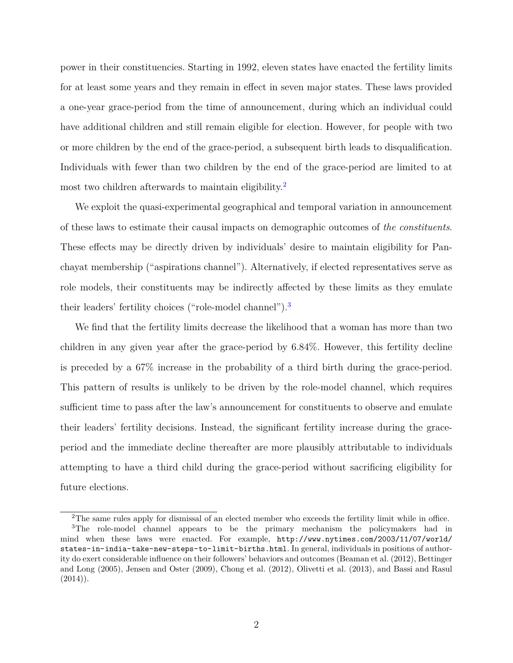power in their constituencies. Starting in 1992, eleven states have enacted the fertility limits for at least some years and they remain in effect in seven major states. These laws provided a one-year grace-period from the time of announcement, during which an individual could have additional children and still remain eligible for election. However, for people with two or more children by the end of the grace-period, a subsequent birth leads to disqualification. Individuals with fewer than two children by the end of the grace-period are limited to at most two children afterwards to maintain eligibility.<sup>[2](#page-4-0)</sup>

We exploit the quasi-experimental geographical and temporal variation in announcement of these laws to estimate their causal impacts on demographic outcomes of *the constituents*. These effects may be directly driven by individuals' desire to maintain eligibility for Panchayat membership ("aspirations channel"). Alternatively, if elected representatives serve as role models, their constituents may be indirectly affected by these limits as they emulate their leaders' fertility choices ("role-model channel").<sup>[3](#page-4-1)</sup>

We find that the fertility limits decrease the likelihood that a woman has more than two children in any given year after the grace-period by 6.84%. However, this fertility decline is preceded by a 67% increase in the probability of a third birth during the grace-period. This pattern of results is unlikely to be driven by the role-model channel, which requires sufficient time to pass after the law's announcement for constituents to observe and emulate their leaders' fertility decisions. Instead, the significant fertility increase during the graceperiod and the immediate decline thereafter are more plausibly attributable to individuals attempting to have a third child during the grace-period without sacrificing eligibility for future elections.

<span id="page-4-1"></span><span id="page-4-0"></span><sup>&</sup>lt;sup>2</sup>The same rules apply for dismissal of an elected member who exceeds the fertility limit while in office.

<sup>3</sup>The role-model channel appears to be the primary mechanism the policymakers had in mind when these laws were enacted. For example, [http://www.nytimes.com/2003/11/07/world/](http://www.nytimes.com/2003/11/07/world/states-in-india-take-new-steps-to-limit-births.html) [states-in-india-take-new-steps-to-limit-births.html](http://www.nytimes.com/2003/11/07/world/states-in-india-take-new-steps-to-limit-births.html). In general, individuals in positions of authority do exert considerable influence on their followers' behaviors and outcomes [\(Beaman et al.](#page-26-1) [\(2012\)](#page-26-1), [Bettinger](#page-26-2) [and Long](#page-26-2) [\(2005\)](#page-26-2), [Jensen and Oster](#page-27-5) [\(2009\)](#page-27-5), [Chong et al.](#page-27-6) [\(2012\)](#page-27-6), [Olivetti et al.](#page-27-7) [\(2013\)](#page-27-7), and [Bassi and Rasul](#page-26-3)  $(2014)$ .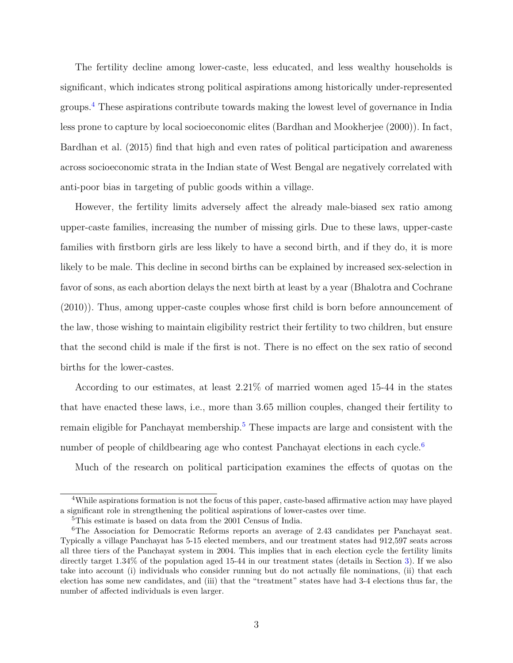The fertility decline among lower-caste, less educated, and less wealthy households is significant, which indicates strong political aspirations among historically under-represented groups.[4](#page-5-0) These aspirations contribute towards making the lowest level of governance in India less prone to capture by local socioeconomic elites [\(Bardhan and Mookherjee](#page-26-4) [\(2000\)](#page-26-4)). In fact, [Bardhan et al.](#page-26-5) [\(2015\)](#page-26-5) find that high and even rates of political participation and awareness across socioeconomic strata in the Indian state of West Bengal are negatively correlated with anti-poor bias in targeting of public goods within a village.

However, the fertility limits adversely affect the already male-biased sex ratio among upper-caste families, increasing the number of missing girls. Due to these laws, upper-caste families with firstborn girls are less likely to have a second birth, and if they do, it is more likely to be male. This decline in second births can be explained by increased sex-selection in favor of sons, as each abortion delays the next birth at least by a year [\(Bhalotra and Cochrane](#page-26-6) [\(2010\)](#page-26-6)). Thus, among upper-caste couples whose first child is born before announcement of the law, those wishing to maintain eligibility restrict their fertility to two children, but ensure that the second child is male if the first is not. There is no effect on the sex ratio of second births for the lower-castes.

According to our estimates, at least 2.21% of married women aged 15-44 in the states that have enacted these laws, i.e., more than 3.65 million couples, changed their fertility to remain eligible for Panchayat membership.<sup>[5](#page-5-1)</sup> These impacts are large and consistent with the number of people of childbearing age who contest Panchayat elections in each cycle.<sup>[6](#page-5-2)</sup>

Much of the research on political participation examines the effects of quotas on the

<span id="page-5-0"></span><sup>4</sup>While aspirations formation is not the focus of this paper, caste-based affirmative action may have played a significant role in strengthening the political aspirations of lower-castes over time.

<span id="page-5-2"></span><span id="page-5-1"></span> ${}^{5}\mathrm{This}$  estimate is based on data from the 2001 Census of India.

<sup>6</sup>The Association for Democratic Reforms reports an average of 2.43 candidates per Panchayat seat. Typically a village Panchayat has 5-15 elected members, and our treatment states had 912,597 seats across all three tiers of the Panchayat system in 2004. This implies that in each election cycle the fertility limits directly target 1.34% of the population aged 15-44 in our treatment states (details in Section [3\)](#page-10-0). If we also take into account (i) individuals who consider running but do not actually file nominations, (ii) that each election has some new candidates, and (iii) that the "treatment" states have had 3-4 elections thus far, the number of affected individuals is even larger.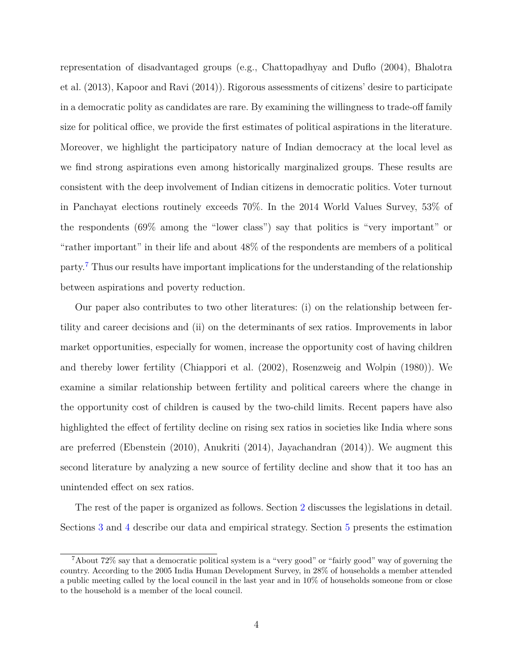representation of disadvantaged groups (e.g., [Chattopadhyay and Duflo](#page-26-7) [\(2004\)](#page-26-7), [Bhalotra](#page-26-8) [et al.](#page-26-8) [\(2013\)](#page-26-8), [Kapoor and Ravi](#page-27-8) [\(2014\)](#page-27-8)). Rigorous assessments of citizens' desire to participate in a democratic polity as candidates are rare. By examining the willingness to trade-off family size for political office, we provide the first estimates of political aspirations in the literature. Moreover, we highlight the participatory nature of Indian democracy at the local level as we find strong aspirations even among historically marginalized groups. These results are consistent with the deep involvement of Indian citizens in democratic politics. Voter turnout in Panchayat elections routinely exceeds 70%. In the 2014 World Values Survey, 53% of the respondents (69% among the "lower class") say that politics is "very important" or "rather important" in their life and about 48% of the respondents are members of a political party.[7](#page-6-0) Thus our results have important implications for the understanding of the relationship between aspirations and poverty reduction.

Our paper also contributes to two other literatures: (i) on the relationship between fertility and career decisions and (ii) on the determinants of sex ratios. Improvements in labor market opportunities, especially for women, increase the opportunity cost of having children and thereby lower fertility [\(Chiappori et al.](#page-26-9) [\(2002\)](#page-26-9), [Rosenzweig and Wolpin](#page-27-9) [\(1980\)](#page-27-9)). We examine a similar relationship between fertility and political careers where the change in the opportunity cost of children is caused by the two-child limits. Recent papers have also highlighted the effect of fertility decline on rising sex ratios in societies like India where sons are preferred [\(Ebenstein](#page-27-10) [\(2010\)](#page-27-10), [Anukriti](#page-25-1) [\(2014\)](#page-25-1), [Jayachandran](#page-27-11) [\(2014\)](#page-27-11)). We augment this second literature by analyzing a new source of fertility decline and show that it too has an unintended effect on sex ratios.

The rest of the paper is organized as follows. Section [2](#page-7-0) discusses the legislations in detail. Sections [3](#page-10-0) and [4](#page-12-0) describe our data and empirical strategy. Section [5](#page-15-0) presents the estimation

<span id="page-6-0"></span><sup>7</sup>About 72% say that a democratic political system is a "very good" or "fairly good" way of governing the country. According to the 2005 India Human Development Survey, in 28% of households a member attended a public meeting called by the local council in the last year and in 10% of households someone from or close to the household is a member of the local council.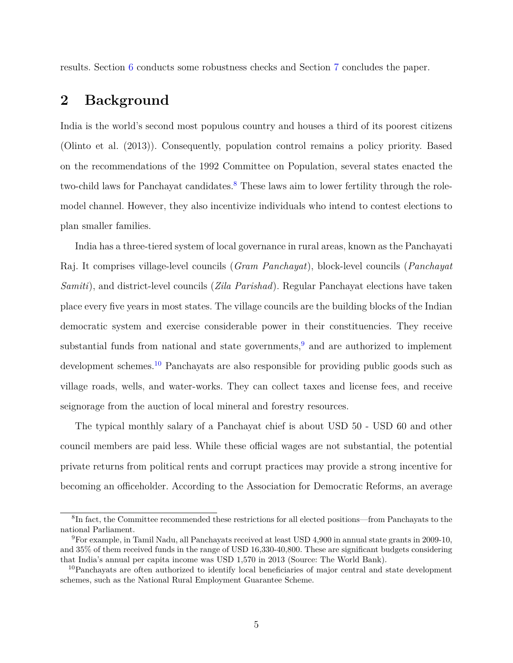<span id="page-7-0"></span>results. Section [6](#page-22-0) conducts some robustness checks and Section [7](#page-23-0) concludes the paper.

# **2 Background**

India is the world's second most populous country and houses a third of its poorest citizens [\(Olinto et al.](#page-27-12) [\(2013\)](#page-27-12)). Consequently, population control remains a policy priority. Based on the recommendations of the 1992 Committee on Population, several states enacted the two-child laws for Panchayat candidates.<sup>[8](#page-7-1)</sup> These laws aim to lower fertility through the rolemodel channel. However, they also incentivize individuals who intend to contest elections to plan smaller families.

India has a three-tiered system of local governance in rural areas, known as the Panchayati Raj. It comprises village-level councils (*Gram Panchayat*), block-level councils (*Panchayat Samiti*), and district-level councils (*Zila Parishad*). Regular Panchayat elections have taken place every five years in most states. The village councils are the building blocks of the Indian democratic system and exercise considerable power in their constituencies. They receive substantial funds from national and state governments,  $9$  and are authorized to implement development schemes.[10](#page-7-3) Panchayats are also responsible for providing public goods such as village roads, wells, and water-works. They can collect taxes and license fees, and receive seignorage from the auction of local mineral and forestry resources.

The typical monthly salary of a Panchayat chief is about USD 50 - USD 60 and other council members are paid less. While these official wages are not substantial, the potential private returns from political rents and corrupt practices may provide a strong incentive for becoming an officeholder. According to the Association for Democratic Reforms, an average

<span id="page-7-1"></span><sup>&</sup>lt;sup>8</sup>In fact, the Committee recommended these restrictions for all elected positions—from Panchayats to the national Parliament.

<span id="page-7-2"></span><sup>9</sup>For example, in Tamil Nadu, all Panchayats received at least USD 4,900 in annual state grants in 2009-10, and 35% of them received funds in the range of USD 16,330-40,800. These are significant budgets considering that India's annual per capita income was USD 1,570 in 2013 (Source: The World Bank).

<span id="page-7-3"></span><sup>&</sup>lt;sup>10</sup>Panchayats are often authorized to identify local beneficiaries of major central and state development schemes, such as the National Rural Employment Guarantee Scheme.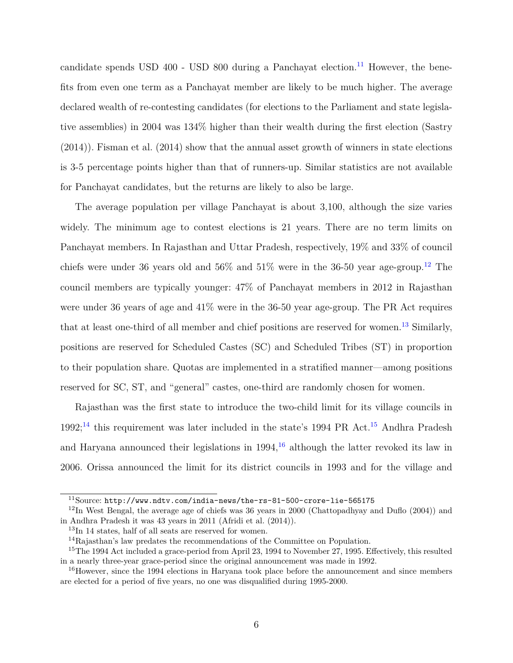candidate spends USD  $400$  - USD  $800$  during a Panchayat election.<sup>[11](#page-8-0)</sup> However, the benefits from even one term as a Panchayat member are likely to be much higher. The average declared wealth of re-contesting candidates (for elections to the Parliament and state legislative assemblies) in 2004 was 134% higher than their wealth during the first election [\(Sastry](#page-27-13) [\(2014\)](#page-27-13)). [Fisman et al.](#page-27-14) [\(2014\)](#page-27-14) show that the annual asset growth of winners in state elections is 3-5 percentage points higher than that of runners-up. Similar statistics are not available for Panchayat candidates, but the returns are likely to also be large.

The average population per village Panchayat is about 3,100, although the size varies widely. The minimum age to contest elections is 21 years. There are no term limits on Panchayat members. In Rajasthan and Uttar Pradesh, respectively, 19% and 33% of council chiefs were under 36 years old and  $56\%$  and  $51\%$  were in the 36-50 year age-group.<sup>[12](#page-8-1)</sup> The council members are typically younger: 47% of Panchayat members in 2012 in Rajasthan were under 36 years of age and 41% were in the 36-50 year age-group. The PR Act requires that at least one-third of all member and chief positions are reserved for women.<sup>[13](#page-8-2)</sup> Similarly, positions are reserved for Scheduled Castes (SC) and Scheduled Tribes (ST) in proportion to their population share. Quotas are implemented in a stratified manner—among positions reserved for SC, ST, and "general" castes, one-third are randomly chosen for women.

Rajasthan was the first state to introduce the two-child limit for its village councils in  $1992;^{14}$  $1992;^{14}$  $1992;^{14}$  this requirement was later included in the state's 1994 PR Act.<sup>[15](#page-8-4)</sup> Andhra Pradesh and Haryana announced their legislations in  $1994<sup>16</sup>$  $1994<sup>16</sup>$  $1994<sup>16</sup>$  although the latter revoked its law in 2006. Orissa announced the limit for its district councils in 1993 and for the village and

<span id="page-8-1"></span><span id="page-8-0"></span><sup>11</sup>Source: <http://www.ndtv.com/india-news/the-rs-81-500-crore-lie-565175>

 $12$ In West Bengal, the average age of chiefs was 36 years in 2000 [\(Chattopadhyay and Duflo](#page-26-7) [\(2004\)](#page-26-7)) and in Andhra Pradesh it was 43 years in 2011 [\(Afridi et al.](#page-25-2) [\(2014\)](#page-25-2)).

<span id="page-8-2"></span><sup>13</sup>In 14 states, half of all seats are reserved for women.

<span id="page-8-4"></span><span id="page-8-3"></span><sup>14</sup>Rajasthan's law predates the recommendations of the Committee on Population.

<sup>15</sup>The 1994 Act included a grace-period from April 23, 1994 to November 27, 1995. Effectively, this resulted in a nearly three-year grace-period since the original announcement was made in 1992.

<span id="page-8-5"></span><sup>&</sup>lt;sup>16</sup>However, since the 1994 elections in Haryana took place before the announcement and since members are elected for a period of five years, no one was disqualified during 1995-2000.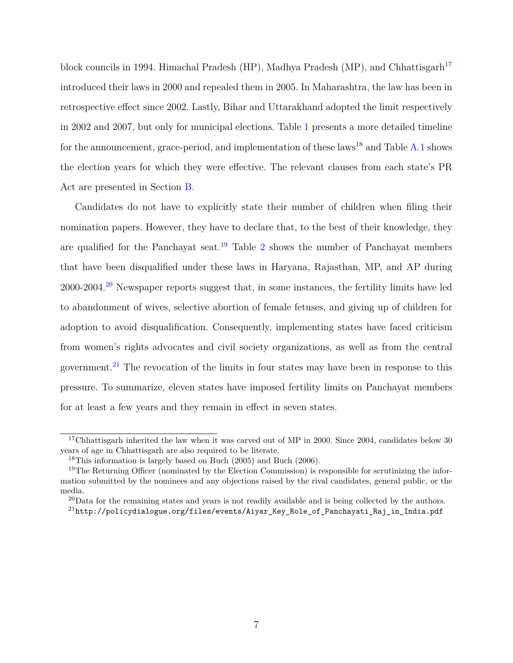block councils in 1994. Himachal Pradesh (HP), Madhya Pradesh (MP), and Chhattisgarh<sup>[17](#page-9-0)</sup> introduced their laws in 2000 and repealed them in 2005. In Maharashtra, the law has been in retrospective effect since 2002. Lastly, Bihar and Uttarakhand adopted the limit respectively in 2002 and 2007, but only for municipal elections. Table [1](#page-33-0) presents a more detailed timeline for the announcement, grace-period, and implementation of these laws<sup>[18](#page-9-1)</sup> and Table [A.1](#page-46-0) shows the election years for which they were effective. The relevant clauses from each state's PR Act are presented in Section [B.](#page-48-0)

Candidates do not have to explicitly state their number of children when filing their nomination papers. However, they have to declare that, to the best of their knowledge, they are qualified for the Panchayat seat.<sup>[19](#page-9-2)</sup> Table [2](#page-34-0) shows the number of Panchayat members that have been disqualified under these laws in Haryana, Rajasthan, MP, and AP during 2000-2004.[20](#page-9-3) Newspaper reports suggest that, in some instances, the fertility limits have led to abandonment of wives, selective abortion of female fetuses, and giving up of children for adoption to avoid disqualification. Consequently, implementing states have faced criticism from women's rights advocates and civil society organizations, as well as from the central government.[21](#page-9-4) The revocation of the limits in four states may have been in response to this pressure. To summarize, eleven states have imposed fertility limits on Panchayat members for at least a few years and they remain in effect in seven states.

<span id="page-9-0"></span><sup>&</sup>lt;sup>17</sup>Chhattisgarh inherited the law when it was carved out of MP in 2000. Since 2004, candidates below 30 years of age in Chhattisgarh are also required to be literate.

<span id="page-9-2"></span><span id="page-9-1"></span><sup>18</sup>This information is largely based on [Buch](#page-26-10) [\(2005\)](#page-26-10) and [Buch](#page-26-11) [\(2006\)](#page-26-11).

<sup>&</sup>lt;sup>19</sup>The Returning Officer (nominated by the Election Commission) is responsible for scrutinizing the information submitted by the nominees and any objections raised by the rival candidates, general public, or the media.

<span id="page-9-4"></span><span id="page-9-3"></span> $^{20}$ Data for the remaining states and years is not readily available and is being collected by the authors.  $^{21}$ http://policydialogue.org/files/events/Aiyar Key Role of Panchayati Raj\_in India.pdf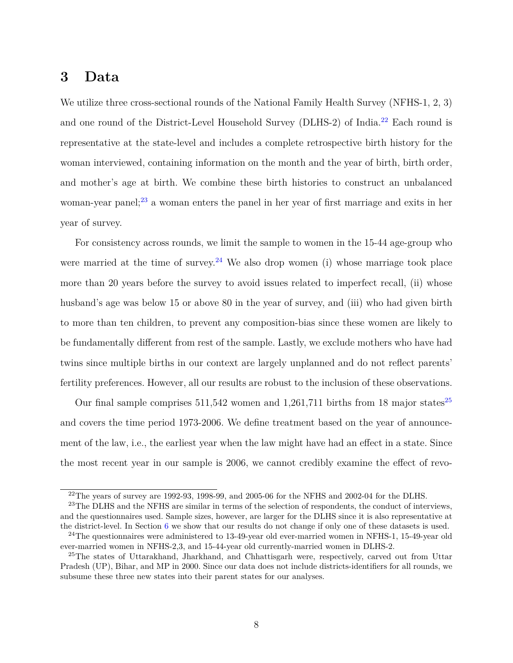### <span id="page-10-0"></span>**3 Data**

We utilize three cross-sectional rounds of the National Family Health Survey (NFHS-1, 2, 3) and one round of the District-Level Household Survey (DLHS-2) of India.[22](#page-10-1) Each round is representative at the state-level and includes a complete retrospective birth history for the woman interviewed, containing information on the month and the year of birth, birth order, and mother's age at birth. We combine these birth histories to construct an unbalanced woman-year panel;<sup>[23](#page-10-2)</sup> a woman enters the panel in her year of first marriage and exits in her year of survey.

For consistency across rounds, we limit the sample to women in the 15-44 age-group who were married at the time of survey.<sup>[24](#page-10-3)</sup> We also drop women (i) whose marriage took place more than 20 years before the survey to avoid issues related to imperfect recall, (ii) whose husband's age was below 15 or above 80 in the year of survey, and (iii) who had given birth to more than ten children, to prevent any composition-bias since these women are likely to be fundamentally different from rest of the sample. Lastly, we exclude mothers who have had twins since multiple births in our context are largely unplanned and do not reflect parents' fertility preferences. However, all our results are robust to the inclusion of these observations.

Our final sample comprises  $511,542$  women and  $1,261,711$  births from 18 major states<sup>[25](#page-10-4)</sup> and covers the time period 1973-2006. We define treatment based on the year of announcement of the law, i.e., the earliest year when the law might have had an effect in a state. Since the most recent year in our sample is 2006, we cannot credibly examine the effect of revo-

<span id="page-10-2"></span><span id="page-10-1"></span> $22$ The years of survey are 1992-93, 1998-99, and 2005-06 for the NFHS and 2002-04 for the DLHS.

<sup>&</sup>lt;sup>23</sup>The DLHS and the NFHS are similar in terms of the selection of respondents, the conduct of interviews, and the questionnaires used. Sample sizes, however, are larger for the DLHS since it is also representative at the district-level. In Section [6](#page-22-0) we show that our results do not change if only one of these datasets is used.

<span id="page-10-3"></span><sup>24</sup>The questionnaires were administered to 13-49-year old ever-married women in NFHS-1, 15-49-year old ever-married women in NFHS-2,3, and 15-44-year old currently-married women in DLHS-2.

<span id="page-10-4"></span><sup>&</sup>lt;sup>25</sup>The states of Uttarakhand, Jharkhand, and Chhattisgarh were, respectively, carved out from Uttar Pradesh (UP), Bihar, and MP in 2000. Since our data does not include districts-identifiers for all rounds, we subsume these three new states into their parent states for our analyses.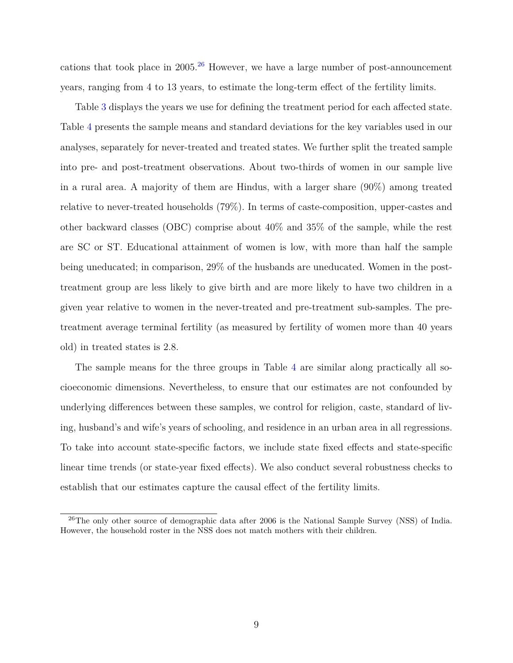cations that took place in  $2005<sup>26</sup>$  $2005<sup>26</sup>$  $2005<sup>26</sup>$  However, we have a large number of post-announcement years, ranging from 4 to 13 years, to estimate the long-term effect of the fertility limits.

Table [3](#page-34-1) displays the years we use for defining the treatment period for each affected state. Table [4](#page-35-0) presents the sample means and standard deviations for the key variables used in our analyses, separately for never-treated and treated states. We further split the treated sample into pre- and post-treatment observations. About two-thirds of women in our sample live in a rural area. A majority of them are Hindus, with a larger share (90%) among treated relative to never-treated households (79%). In terms of caste-composition, upper-castes and other backward classes (OBC) comprise about 40% and 35% of the sample, while the rest are SC or ST. Educational attainment of women is low, with more than half the sample being uneducated; in comparison, 29% of the husbands are uneducated. Women in the posttreatment group are less likely to give birth and are more likely to have two children in a given year relative to women in the never-treated and pre-treatment sub-samples. The pretreatment average terminal fertility (as measured by fertility of women more than 40 years old) in treated states is 2.8.

The sample means for the three groups in Table [4](#page-35-0) are similar along practically all socioeconomic dimensions. Nevertheless, to ensure that our estimates are not confounded by underlying differences between these samples, we control for religion, caste, standard of living, husband's and wife's years of schooling, and residence in an urban area in all regressions. To take into account state-specific factors, we include state fixed effects and state-specific linear time trends (or state-year fixed effects). We also conduct several robustness checks to establish that our estimates capture the causal effect of the fertility limits.

<span id="page-11-0"></span><sup>&</sup>lt;sup>26</sup>The only other source of demographic data after 2006 is the National Sample Survey (NSS) of India. However, the household roster in the NSS does not match mothers with their children.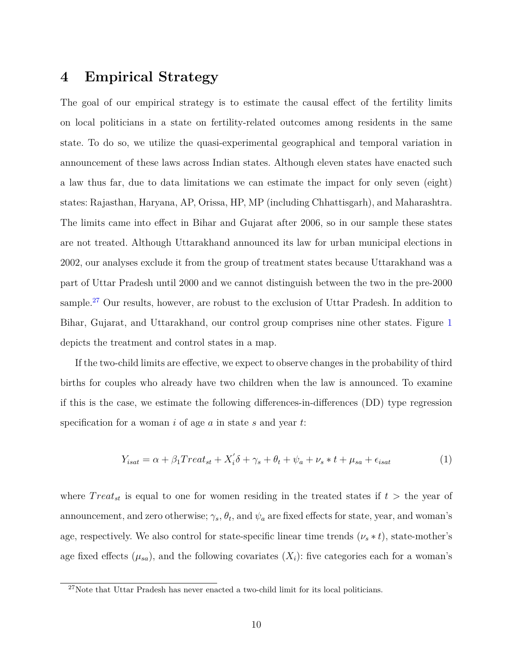## <span id="page-12-0"></span>**4 Empirical Strategy**

The goal of our empirical strategy is to estimate the causal effect of the fertility limits on local politicians in a state on fertility-related outcomes among residents in the same state. To do so, we utilize the quasi-experimental geographical and temporal variation in announcement of these laws across Indian states. Although eleven states have enacted such a law thus far, due to data limitations we can estimate the impact for only seven (eight) states: Rajasthan, Haryana, AP, Orissa, HP, MP (including Chhattisgarh), and Maharashtra. The limits came into effect in Bihar and Gujarat after 2006, so in our sample these states are not treated. Although Uttarakhand announced its law for urban municipal elections in 2002, our analyses exclude it from the group of treatment states because Uttarakhand was a part of Uttar Pradesh until 2000 and we cannot distinguish between the two in the pre-2000 sample.<sup>[27](#page-12-1)</sup> Our results, however, are robust to the exclusion of Uttar Pradesh. In addition to Bihar, Gujarat, and Uttarakhand, our control group comprises nine other states. Figure [1](#page-28-0) depicts the treatment and control states in a map.

If the two-child limits are effective, we expect to observe changes in the probability of third births for couples who already have two children when the law is announced. To examine if this is the case, we estimate the following differences-in-differences (DD) type regression specification for a woman *i* of age *a* in state *s* and year *t*:

$$
Y_{isat} = \alpha + \beta_1 Treat_{st} + X_i' \delta + \gamma_s + \theta_t + \psi_a + \nu_s * t + \mu_{sa} + \epsilon_{isat}
$$
(1)

where  $Treat_{st}$  is equal to one for women residing in the treated states if  $t >$  the year of announcement, and zero otherwise;  $\gamma_s$ ,  $\theta_t$ , and  $\psi_a$  are fixed effects for state, year, and woman's age, respectively. We also control for state-specific linear time trends  $(\nu_s * t)$ , state-mother's age fixed effects  $(\mu_{sa})$ , and the following covariates  $(X_i)$ : five categories each for a woman's

<span id="page-12-1"></span> $27$ Note that Uttar Pradesh has never enacted a two-child limit for its local politicians.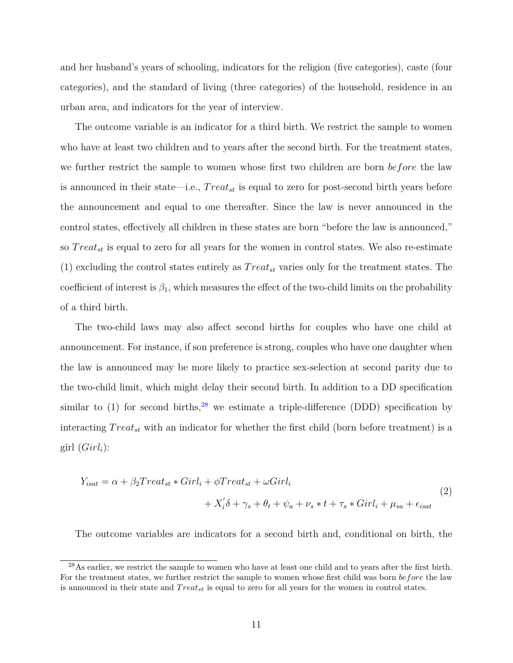and her husband's years of schooling, indicators for the religion (five categories), caste (four categories), and the standard of living (three categories) of the household, residence in an urban area, and indicators for the year of interview.

The outcome variable is an indicator for a third birth. We restrict the sample to women who have at least two children and to years after the second birth. For the treatment states, we further restrict the sample to women whose first two children are born *before* the law is announced in their state—i.e., *T reatst* is equal to zero for post-second birth years before the announcement and equal to one thereafter. Since the law is never announced in the control states, effectively all children in these states are born "before the law is announced," so *T reatst* is equal to zero for all years for the women in control states. We also re-estimate (1) excluding the control states entirely as *T reatst* varies only for the treatment states. The coefficient of interest is  $\beta_1$ , which measures the effect of the two-child limits on the probability of a third birth.

The two-child laws may also affect second births for couples who have one child at announcement. For instance, if son preference is strong, couples who have one daughter when the law is announced may be more likely to practice sex-selection at second parity due to the two-child limit, which might delay their second birth. In addition to a DD specification similar to  $(1)$  for second births,<sup>[28](#page-13-0)</sup> we estimate a triple-difference (DDD) specification by interacting *T reatst* with an indicator for whether the first child (born before treatment) is a girl  $(Girl<sub>i</sub>)$ :

$$
Y_{isat} = \alpha + \beta_2 Treat_{st} * Girl_i + \phi Treat_{st} + \omega Girl_i
$$
  
+ 
$$
X_i' \delta + \gamma_s + \theta_t + \psi_a + \nu_s * t + \tau_s * Girl_i + \mu_{sa} + \epsilon_{isat}
$$
 (2)

The outcome variables are indicators for a second birth and, conditional on birth, the

<span id="page-13-0"></span><sup>&</sup>lt;sup>28</sup>As earlier, we restrict the sample to women who have at least one child and to years after the first birth. For the treatment states, we further restrict the sample to women whose first child was born *before* the law is announced in their state and *T reatst* is equal to zero for all years for the women in control states.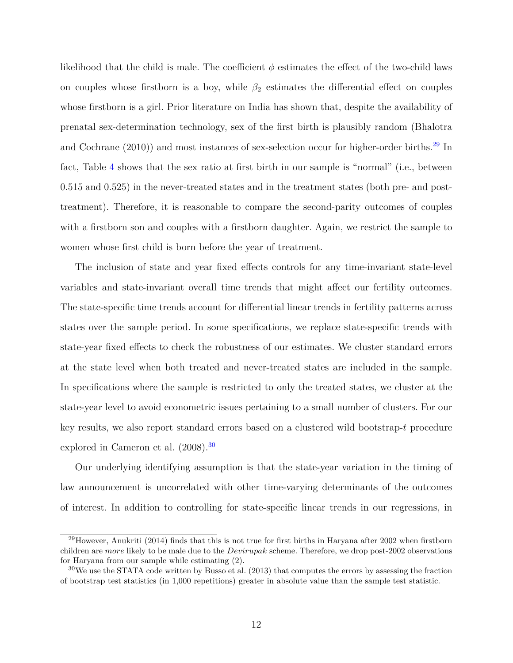likelihood that the child is male. The coefficient  $\phi$  estimates the effect of the two-child laws on couples whose firstborn is a boy, while  $\beta_2$  estimates the differential effect on couples whose firstborn is a girl. Prior literature on India has shown that, despite the availability of prenatal sex-determination technology, sex of the first birth is plausibly random [\(Bhalotra](#page-26-6) [and Cochrane](#page-26-6)  $(2010)$ ) and most instances of sex-selection occur for higher-order births.<sup>[29](#page-14-0)</sup> In fact, Table [4](#page-35-0) shows that the sex ratio at first birth in our sample is "normal" (i.e., between 0.515 and 0.525) in the never-treated states and in the treatment states (both pre- and posttreatment). Therefore, it is reasonable to compare the second-parity outcomes of couples with a firstborn son and couples with a firstborn daughter. Again, we restrict the sample to women whose first child is born before the year of treatment.

The inclusion of state and year fixed effects controls for any time-invariant state-level variables and state-invariant overall time trends that might affect our fertility outcomes. The state-specific time trends account for differential linear trends in fertility patterns across states over the sample period. In some specifications, we replace state-specific trends with state-year fixed effects to check the robustness of our estimates. We cluster standard errors at the state level when both treated and never-treated states are included in the sample. In specifications where the sample is restricted to only the treated states, we cluster at the state-year level to avoid econometric issues pertaining to a small number of clusters. For our key results, we also report standard errors based on a clustered wild bootstrap-*t* procedure explored in [Cameron et al.](#page-26-12) [\(2008\)](#page-26-12).[30](#page-14-1)

Our underlying identifying assumption is that the state-year variation in the timing of law announcement is uncorrelated with other time-varying determinants of the outcomes of interest. In addition to controlling for state-specific linear trends in our regressions, in

<span id="page-14-0"></span> $^{29}$ However, [Anukriti](#page-25-1) [\(2014\)](#page-25-1) finds that this is not true for first births in Haryana after 2002 when firstborn children are *more* likely to be male due to the *Devirupak* scheme. Therefore, we drop post-2002 observations for Haryana from our sample while estimating (2).

<span id="page-14-1"></span> $30\,\text{We}$  use the STATA code written by [Busso et al.](#page-26-13) [\(2013\)](#page-26-13) that computes the errors by assessing the fraction of bootstrap test statistics (in 1,000 repetitions) greater in absolute value than the sample test statistic.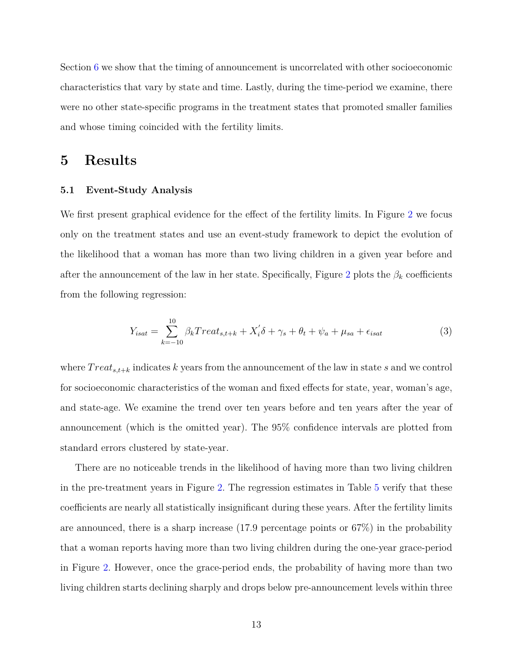Section [6](#page-22-0) we show that the timing of announcement is uncorrelated with other socioeconomic characteristics that vary by state and time. Lastly, during the time-period we examine, there were no other state-specific programs in the treatment states that promoted smaller families and whose timing coincided with the fertility limits.

#### <span id="page-15-0"></span>**5 Results**

#### **5.1 Event-Study Analysis**

We first present graphical evidence for the effect of the fertility limits. In Figure [2](#page-29-0) we focus only on the treatment states and use an event-study framework to depict the evolution of the likelihood that a woman has more than two living children in a given year before and after the announcement of the law in her state. Specifically, Figure [2](#page-29-0) plots the  $\beta_k$  coefficients from the following regression:

<span id="page-15-1"></span>
$$
Y_{isat} = \sum_{k=-10}^{10} \beta_k Treat_{s,t+k} + X_i' \delta + \gamma_s + \theta_t + \psi_a + \mu_{sa} + \epsilon_{isat}
$$
 (3)

where  $Treat_{s,t+k}$  indicates k years from the announcement of the law in state s and we control for socioeconomic characteristics of the woman and fixed effects for state, year, woman's age, and state-age. We examine the trend over ten years before and ten years after the year of announcement (which is the omitted year). The 95% confidence intervals are plotted from standard errors clustered by state-year.

There are no noticeable trends in the likelihood of having more than two living children in the pre-treatment years in Figure [2.](#page-29-0) The regression estimates in Table [5](#page-36-0) verify that these coefficients are nearly all statistically insignificant during these years. After the fertility limits are announced, there is a sharp increase (17.9 percentage points or 67%) in the probability that a woman reports having more than two living children during the one-year grace-period in Figure [2.](#page-29-0) However, once the grace-period ends, the probability of having more than two living children starts declining sharply and drops below pre-announcement levels within three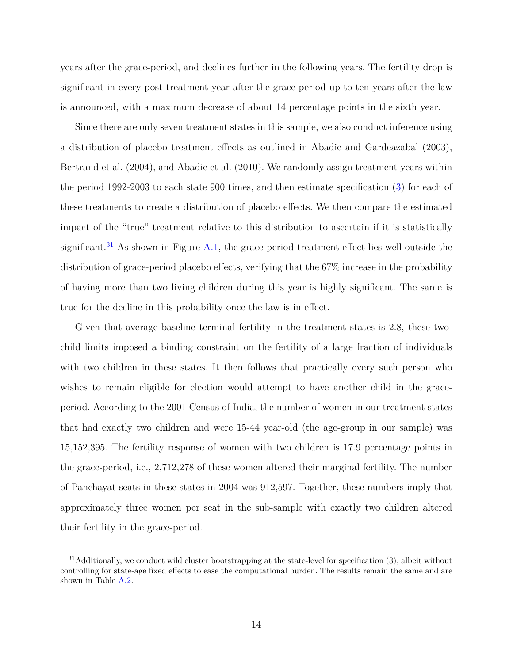years after the grace-period, and declines further in the following years. The fertility drop is significant in every post-treatment year after the grace-period up to ten years after the law is announced, with a maximum decrease of about 14 percentage points in the sixth year.

Since there are only seven treatment states in this sample, we also conduct inference using a distribution of placebo treatment effects as outlined in [Abadie and Gardeazabal](#page-25-3) [\(2003\)](#page-25-3), [Bertrand et al.](#page-26-14) [\(2004\)](#page-26-14), and [Abadie et al.](#page-25-4) [\(2010\)](#page-25-4). We randomly assign treatment years within the period 1992-2003 to each state 900 times, and then estimate specification [\(3\)](#page-15-1) for each of these treatments to create a distribution of placebo effects. We then compare the estimated impact of the "true" treatment relative to this distribution to ascertain if it is statistically significant.<sup>[31](#page-16-0)</sup> As shown in Figure [A.1,](#page-43-0) the grace-period treatment effect lies well outside the distribution of grace-period placebo effects, verifying that the 67% increase in the probability of having more than two living children during this year is highly significant. The same is true for the decline in this probability once the law is in effect.

Given that average baseline terminal fertility in the treatment states is 2.8, these twochild limits imposed a binding constraint on the fertility of a large fraction of individuals with two children in these states. It then follows that practically every such person who wishes to remain eligible for election would attempt to have another child in the graceperiod. According to the 2001 Census of India, the number of women in our treatment states that had exactly two children and were 15-44 year-old (the age-group in our sample) was 15,152,395. The fertility response of women with two children is 17.9 percentage points in the grace-period, i.e., 2,712,278 of these women altered their marginal fertility. The number of Panchayat seats in these states in 2004 was 912,597. Together, these numbers imply that approximately three women per seat in the sub-sample with exactly two children altered their fertility in the grace-period.

<span id="page-16-0"></span> $31$ Additionally, we conduct wild cluster bootstrapping at the state-level for specification  $(3)$ , albeit without controlling for state-age fixed effects to ease the computational burden. The results remain the same and are shown in Table [A.2.](#page-47-0)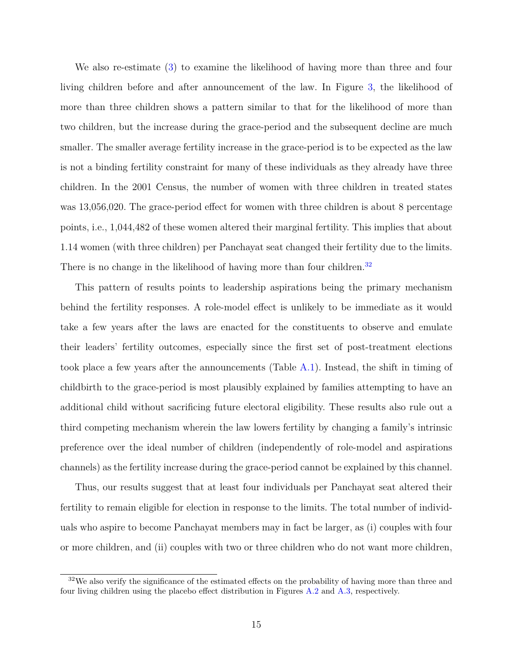We also re-estimate [\(3\)](#page-15-1) to examine the likelihood of having more than three and four living children before and after announcement of the law. In Figure [3,](#page-30-0) the likelihood of more than three children shows a pattern similar to that for the likelihood of more than two children, but the increase during the grace-period and the subsequent decline are much smaller. The smaller average fertility increase in the grace-period is to be expected as the law is not a binding fertility constraint for many of these individuals as they already have three children. In the 2001 Census, the number of women with three children in treated states was 13,056,020. The grace-period effect for women with three children is about 8 percentage points, i.e., 1,044,482 of these women altered their marginal fertility. This implies that about 1.14 women (with three children) per Panchayat seat changed their fertility due to the limits. There is no change in the likelihood of having more than four children.<sup>[32](#page-17-0)</sup>

This pattern of results points to leadership aspirations being the primary mechanism behind the fertility responses. A role-model effect is unlikely to be immediate as it would take a few years after the laws are enacted for the constituents to observe and emulate their leaders' fertility outcomes, especially since the first set of post-treatment elections took place a few years after the announcements (Table [A.1\)](#page-46-0). Instead, the shift in timing of childbirth to the grace-period is most plausibly explained by families attempting to have an additional child without sacrificing future electoral eligibility. These results also rule out a third competing mechanism wherein the law lowers fertility by changing a family's intrinsic preference over the ideal number of children (independently of role-model and aspirations channels) as the fertility increase during the grace-period cannot be explained by this channel.

Thus, our results suggest that at least four individuals per Panchayat seat altered their fertility to remain eligible for election in response to the limits. The total number of individuals who aspire to become Panchayat members may in fact be larger, as (i) couples with four or more children, and (ii) couples with two or three children who do not want more children,

<span id="page-17-0"></span><sup>&</sup>lt;sup>32</sup>We also verify the significance of the estimated effects on the probability of having more than three and four living children using the placebo effect distribution in Figures [A.2](#page-44-0) and [A.3,](#page-45-0) respectively.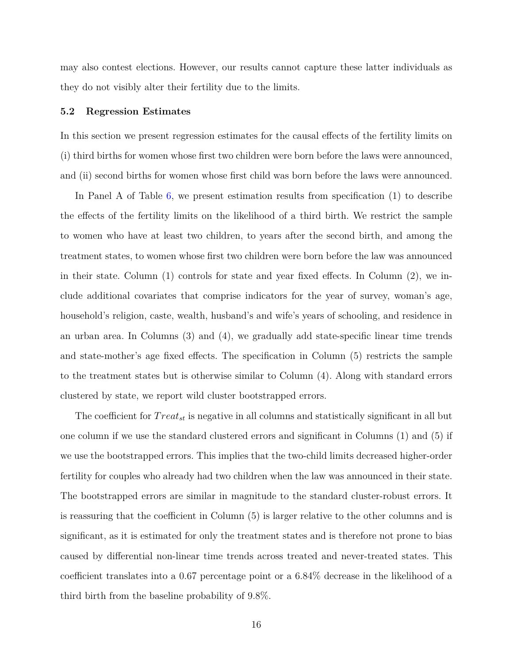may also contest elections. However, our results cannot capture these latter individuals as they do not visibly alter their fertility due to the limits.

#### **5.2 Regression Estimates**

In this section we present regression estimates for the causal effects of the fertility limits on (i) third births for women whose first two children were born before the laws were announced, and (ii) second births for women whose first child was born before the laws were announced.

In Panel A of Table [6,](#page-37-0) we present estimation results from specification (1) to describe the effects of the fertility limits on the likelihood of a third birth. We restrict the sample to women who have at least two children, to years after the second birth, and among the treatment states, to women whose first two children were born before the law was announced in their state. Column (1) controls for state and year fixed effects. In Column (2), we include additional covariates that comprise indicators for the year of survey, woman's age, household's religion, caste, wealth, husband's and wife's years of schooling, and residence in an urban area. In Columns (3) and (4), we gradually add state-specific linear time trends and state-mother's age fixed effects. The specification in Column (5) restricts the sample to the treatment states but is otherwise similar to Column (4). Along with standard errors clustered by state, we report wild cluster bootstrapped errors.

The coefficient for *T reatst* is negative in all columns and statistically significant in all but one column if we use the standard clustered errors and significant in Columns (1) and (5) if we use the bootstrapped errors. This implies that the two-child limits decreased higher-order fertility for couples who already had two children when the law was announced in their state. The bootstrapped errors are similar in magnitude to the standard cluster-robust errors. It is reassuring that the coefficient in Column (5) is larger relative to the other columns and is significant, as it is estimated for only the treatment states and is therefore not prone to bias caused by differential non-linear time trends across treated and never-treated states. This coefficient translates into a 0.67 percentage point or a 6.84% decrease in the likelihood of a third birth from the baseline probability of 9.8%.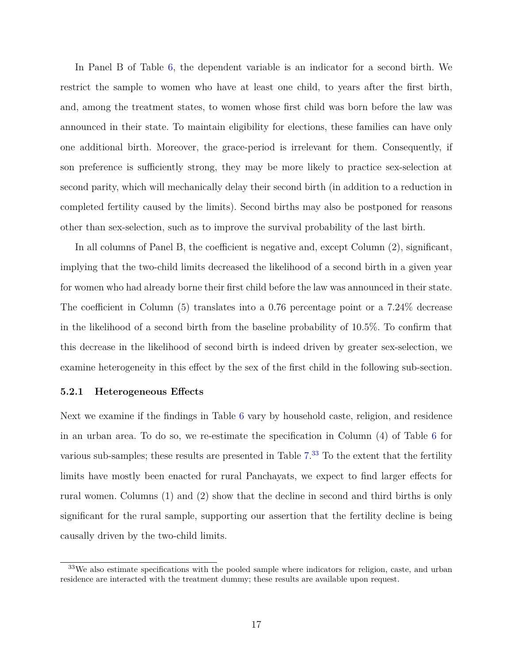In Panel B of Table [6,](#page-37-0) the dependent variable is an indicator for a second birth. We restrict the sample to women who have at least one child, to years after the first birth, and, among the treatment states, to women whose first child was born before the law was announced in their state. To maintain eligibility for elections, these families can have only one additional birth. Moreover, the grace-period is irrelevant for them. Consequently, if son preference is sufficiently strong, they may be more likely to practice sex-selection at second parity, which will mechanically delay their second birth (in addition to a reduction in completed fertility caused by the limits). Second births may also be postponed for reasons other than sex-selection, such as to improve the survival probability of the last birth.

In all columns of Panel B, the coefficient is negative and, except Column (2), significant, implying that the two-child limits decreased the likelihood of a second birth in a given year for women who had already borne their first child before the law was announced in their state. The coefficient in Column (5) translates into a 0.76 percentage point or a 7.24% decrease in the likelihood of a second birth from the baseline probability of 10.5%. To confirm that this decrease in the likelihood of second birth is indeed driven by greater sex-selection, we examine heterogeneity in this effect by the sex of the first child in the following sub-section.

#### **5.2.1 Heterogeneous Effects**

Next we examine if the findings in Table [6](#page-37-0) vary by household caste, religion, and residence in an urban area. To do so, we re-estimate the specification in Column (4) of Table [6](#page-37-0) for various sub-samples; these results are presented in Table  $7.^{33}$  $7.^{33}$  $7.^{33}$  $7.^{33}$  To the extent that the fertility limits have mostly been enacted for rural Panchayats, we expect to find larger effects for rural women. Columns (1) and (2) show that the decline in second and third births is only significant for the rural sample, supporting our assertion that the fertility decline is being causally driven by the two-child limits.

<span id="page-19-0"></span><sup>33</sup>We also estimate specifications with the pooled sample where indicators for religion, caste, and urban residence are interacted with the treatment dummy; these results are available upon request.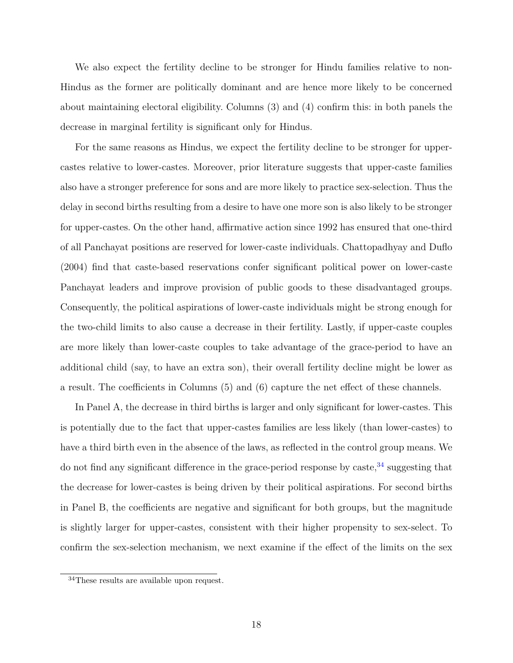We also expect the fertility decline to be stronger for Hindu families relative to non-Hindus as the former are politically dominant and are hence more likely to be concerned about maintaining electoral eligibility. Columns (3) and (4) confirm this: in both panels the decrease in marginal fertility is significant only for Hindus.

For the same reasons as Hindus, we expect the fertility decline to be stronger for uppercastes relative to lower-castes. Moreover, prior literature suggests that upper-caste families also have a stronger preference for sons and are more likely to practice sex-selection. Thus the delay in second births resulting from a desire to have one more son is also likely to be stronger for upper-castes. On the other hand, affirmative action since 1992 has ensured that one-third of all Panchayat positions are reserved for lower-caste individuals. [Chattopadhyay and Duflo](#page-26-7) [\(2004\)](#page-26-7) find that caste-based reservations confer significant political power on lower-caste Panchayat leaders and improve provision of public goods to these disadvantaged groups. Consequently, the political aspirations of lower-caste individuals might be strong enough for the two-child limits to also cause a decrease in their fertility. Lastly, if upper-caste couples are more likely than lower-caste couples to take advantage of the grace-period to have an additional child (say, to have an extra son), their overall fertility decline might be lower as a result. The coefficients in Columns (5) and (6) capture the net effect of these channels.

In Panel A, the decrease in third births is larger and only significant for lower-castes. This is potentially due to the fact that upper-castes families are less likely (than lower-castes) to have a third birth even in the absence of the laws, as reflected in the control group means. We do not find any significant difference in the grace-period response by caste,  $34$  suggesting that the decrease for lower-castes is being driven by their political aspirations. For second births in Panel B, the coefficients are negative and significant for both groups, but the magnitude is slightly larger for upper-castes, consistent with their higher propensity to sex-select. To confirm the sex-selection mechanism, we next examine if the effect of the limits on the sex

<span id="page-20-0"></span><sup>34</sup>These results are available upon request.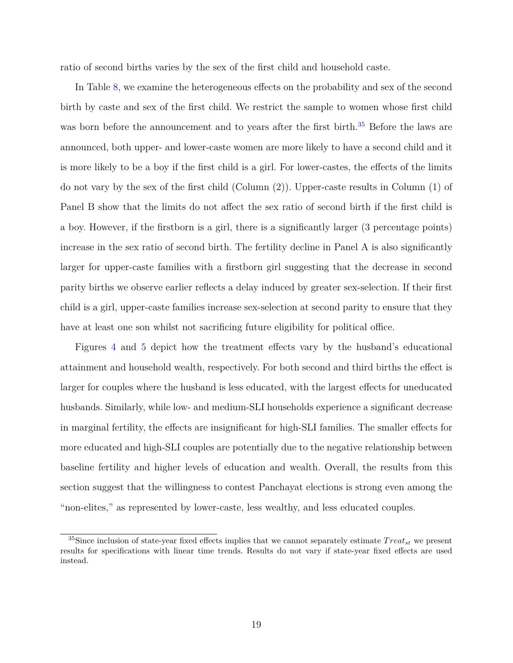ratio of second births varies by the sex of the first child and household caste.

In Table [8,](#page-39-0) we examine the heterogeneous effects on the probability and sex of the second birth by caste and sex of the first child. We restrict the sample to women whose first child was born before the announcement and to years after the first birth.<sup>[35](#page-21-0)</sup> Before the laws are announced, both upper- and lower-caste women are more likely to have a second child and it is more likely to be a boy if the first child is a girl. For lower-castes, the effects of the limits do not vary by the sex of the first child (Column (2)). Upper-caste results in Column (1) of Panel B show that the limits do not affect the sex ratio of second birth if the first child is a boy. However, if the firstborn is a girl, there is a significantly larger (3 percentage points) increase in the sex ratio of second birth. The fertility decline in Panel A is also significantly larger for upper-caste families with a firstborn girl suggesting that the decrease in second parity births we observe earlier reflects a delay induced by greater sex-selection. If their first child is a girl, upper-caste families increase sex-selection at second parity to ensure that they have at least one son whilst not sacrificing future eligibility for political office.

Figures [4](#page-31-0) and [5](#page-32-0) depict how the treatment effects vary by the husband's educational attainment and household wealth, respectively. For both second and third births the effect is larger for couples where the husband is less educated, with the largest effects for uneducated husbands. Similarly, while low- and medium-SLI households experience a significant decrease in marginal fertility, the effects are insignificant for high-SLI families. The smaller effects for more educated and high-SLI couples are potentially due to the negative relationship between baseline fertility and higher levels of education and wealth. Overall, the results from this section suggest that the willingness to contest Panchayat elections is strong even among the "non-elites," as represented by lower-caste, less wealthy, and less educated couples.

<span id="page-21-0"></span><sup>&</sup>lt;sup>35</sup>Since inclusion of state-year fixed effects implies that we cannot separately estimate  $Treat_{st}$  we present results for specifications with linear time trends. Results do not vary if state-year fixed effects are used instead.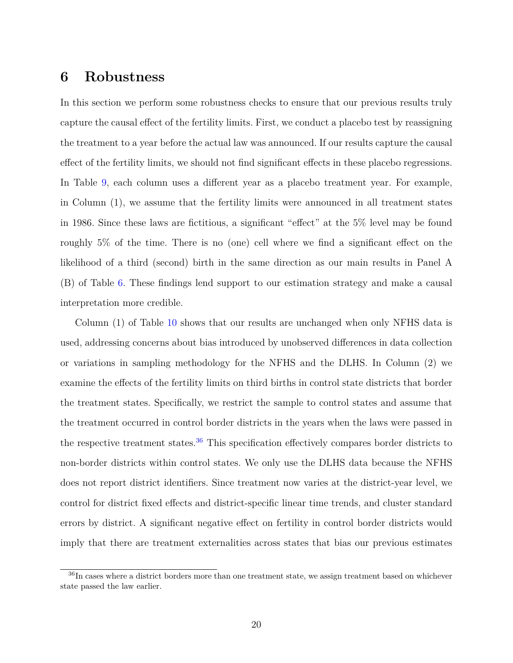#### <span id="page-22-0"></span>**6 Robustness**

In this section we perform some robustness checks to ensure that our previous results truly capture the causal effect of the fertility limits. First, we conduct a placebo test by reassigning the treatment to a year before the actual law was announced. If our results capture the causal effect of the fertility limits, we should not find significant effects in these placebo regressions. In Table [9,](#page-40-0) each column uses a different year as a placebo treatment year. For example, in Column (1), we assume that the fertility limits were announced in all treatment states in 1986. Since these laws are fictitious, a significant "effect" at the 5% level may be found roughly 5% of the time. There is no (one) cell where we find a significant effect on the likelihood of a third (second) birth in the same direction as our main results in Panel A (B) of Table [6.](#page-37-0) These findings lend support to our estimation strategy and make a causal interpretation more credible.

Column (1) of Table [10](#page-41-0) shows that our results are unchanged when only NFHS data is used, addressing concerns about bias introduced by unobserved differences in data collection or variations in sampling methodology for the NFHS and the DLHS. In Column (2) we examine the effects of the fertility limits on third births in control state districts that border the treatment states. Specifically, we restrict the sample to control states and assume that the treatment occurred in control border districts in the years when the laws were passed in the respective treatment states.<sup>[36](#page-22-1)</sup> This specification effectively compares border districts to non-border districts within control states. We only use the DLHS data because the NFHS does not report district identifiers. Since treatment now varies at the district-year level, we control for district fixed effects and district-specific linear time trends, and cluster standard errors by district. A significant negative effect on fertility in control border districts would imply that there are treatment externalities across states that bias our previous estimates

<span id="page-22-1"></span><sup>&</sup>lt;sup>36</sup>In cases where a district borders more than one treatment state, we assign treatment based on whichever state passed the law earlier.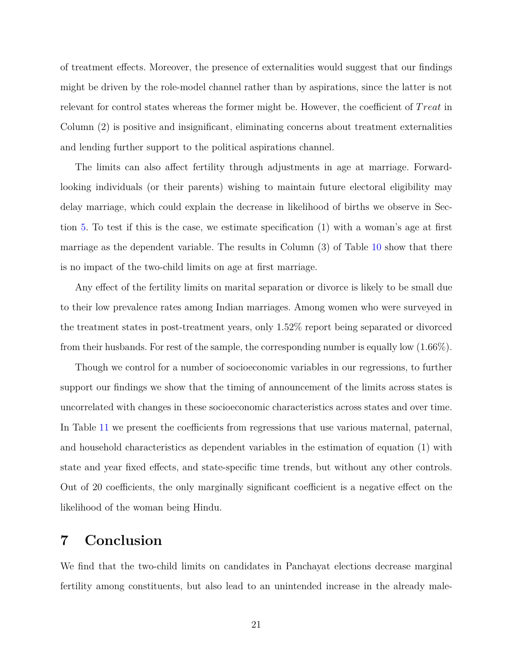of treatment effects. Moreover, the presence of externalities would suggest that our findings might be driven by the role-model channel rather than by aspirations, since the latter is not relevant for control states whereas the former might be. However, the coefficient of *T reat* in Column (2) is positive and insignificant, eliminating concerns about treatment externalities and lending further support to the political aspirations channel.

The limits can also affect fertility through adjustments in age at marriage. Forwardlooking individuals (or their parents) wishing to maintain future electoral eligibility may delay marriage, which could explain the decrease in likelihood of births we observe in Section [5.](#page-15-0) To test if this is the case, we estimate specification (1) with a woman's age at first marriage as the dependent variable. The results in Column (3) of Table [10](#page-41-0) show that there is no impact of the two-child limits on age at first marriage.

Any effect of the fertility limits on marital separation or divorce is likely to be small due to their low prevalence rates among Indian marriages. Among women who were surveyed in the treatment states in post-treatment years, only 1.52% report being separated or divorced from their husbands. For rest of the sample, the corresponding number is equally low (1.66%).

Though we control for a number of socioeconomic variables in our regressions, to further support our findings we show that the timing of announcement of the limits across states is uncorrelated with changes in these socioeconomic characteristics across states and over time. In Table [11](#page-42-0) we present the coefficients from regressions that use various maternal, paternal, and household characteristics as dependent variables in the estimation of equation (1) with state and year fixed effects, and state-specific time trends, but without any other controls. Out of 20 coefficients, the only marginally significant coefficient is a negative effect on the likelihood of the woman being Hindu.

### <span id="page-23-0"></span>**7 Conclusion**

We find that the two-child limits on candidates in Panchayat elections decrease marginal fertility among constituents, but also lead to an unintended increase in the already male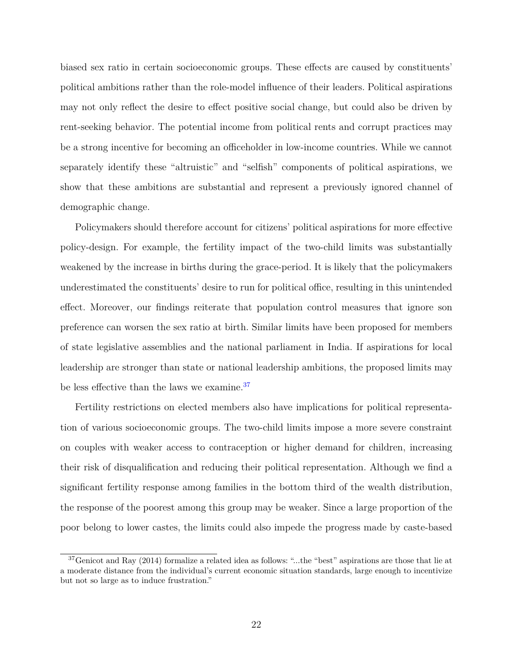biased sex ratio in certain socioeconomic groups. These effects are caused by constituents' political ambitions rather than the role-model influence of their leaders. Political aspirations may not only reflect the desire to effect positive social change, but could also be driven by rent-seeking behavior. The potential income from political rents and corrupt practices may be a strong incentive for becoming an officeholder in low-income countries. While we cannot separately identify these "altruistic" and "selfish" components of political aspirations, we show that these ambitions are substantial and represent a previously ignored channel of demographic change.

Policymakers should therefore account for citizens' political aspirations for more effective policy-design. For example, the fertility impact of the two-child limits was substantially weakened by the increase in births during the grace-period. It is likely that the policymakers underestimated the constituents' desire to run for political office, resulting in this unintended effect. Moreover, our findings reiterate that population control measures that ignore son preference can worsen the sex ratio at birth. Similar limits have been proposed for members of state legislative assemblies and the national parliament in India. If aspirations for local leadership are stronger than state or national leadership ambitions, the proposed limits may be less effective than the laws we examine.<sup>[37](#page-24-0)</sup>

Fertility restrictions on elected members also have implications for political representation of various socioeconomic groups. The two-child limits impose a more severe constraint on couples with weaker access to contraception or higher demand for children, increasing their risk of disqualification and reducing their political representation. Although we find a significant fertility response among families in the bottom third of the wealth distribution, the response of the poorest among this group may be weaker. Since a large proportion of the poor belong to lower castes, the limits could also impede the progress made by caste-based

<span id="page-24-0"></span> $37$ [Genicot and Ray](#page-27-4) [\(2014\)](#page-27-4) formalize a related idea as follows: "...the "best" aspirations are those that lie at a moderate distance from the individual's current economic situation standards, large enough to incentivize but not so large as to induce frustration."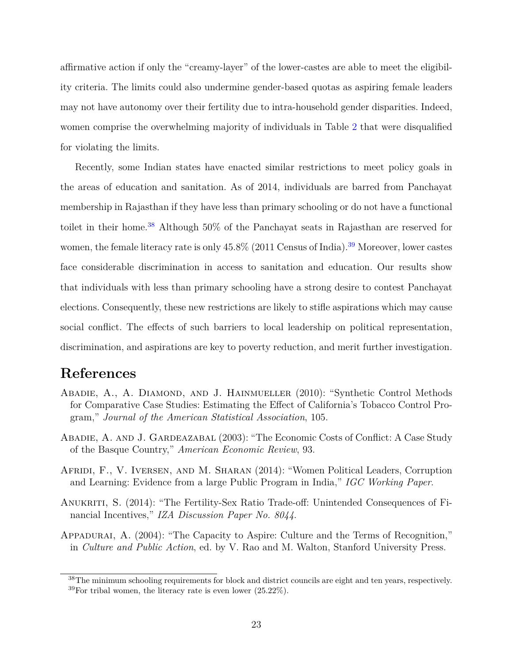affirmative action if only the "creamy-layer" of the lower-castes are able to meet the eligibility criteria. The limits could also undermine gender-based quotas as aspiring female leaders may not have autonomy over their fertility due to intra-household gender disparities. Indeed, women comprise the overwhelming majority of individuals in Table [2](#page-34-0) that were disqualified for violating the limits.

Recently, some Indian states have enacted similar restrictions to meet policy goals in the areas of education and sanitation. As of 2014, individuals are barred from Panchayat membership in Rajasthan if they have less than primary schooling or do not have a functional toilet in their home.<sup>[38](#page-25-5)</sup> Although 50% of the Panchayat seats in Rajasthan are reserved for women, the female literacy rate is only  $45.8\%$  (2011 Census of India).<sup>[39](#page-25-6)</sup> Moreover, lower castes face considerable discrimination in access to sanitation and education. Our results show that individuals with less than primary schooling have a strong desire to contest Panchayat elections. Consequently, these new restrictions are likely to stifle aspirations which may cause social conflict. The effects of such barriers to local leadership on political representation, discrimination, and aspirations are key to poverty reduction, and merit further investigation.

### **References**

- <span id="page-25-4"></span>ABADIE, A., A. DIAMOND, AND J. HAINMUELLER (2010): "Synthetic Control Methods for Comparative Case Studies: Estimating the Effect of California's Tobacco Control Program," *Journal of the American Statistical Association*, 105.
- <span id="page-25-3"></span>Abadie, A. and J. Gardeazabal (2003): "The Economic Costs of Conflict: A Case Study of the Basque Country," *American Economic Review*, 93.
- <span id="page-25-2"></span>Afridi, F., V. Iversen, and M. Sharan (2014): "Women Political Leaders, Corruption and Learning: Evidence from a large Public Program in India," *IGC Working Paper*.
- <span id="page-25-1"></span>Anukriti, S. (2014): "The Fertility-Sex Ratio Trade-off: Unintended Consequences of Financial Incentives," *IZA Discussion Paper No. 8044*.
- <span id="page-25-0"></span>Appadurai, A. (2004): "The Capacity to Aspire: Culture and the Terms of Recognition," in *Culture and Public Action*, ed. by V. Rao and M. Walton, Stanford University Press.

<span id="page-25-6"></span><span id="page-25-5"></span><sup>&</sup>lt;sup>38</sup>The minimum schooling requirements for block and district councils are eight and ten years, respectively.  $39$ For tribal women, the literacy rate is even lower  $(25.22\%)$ .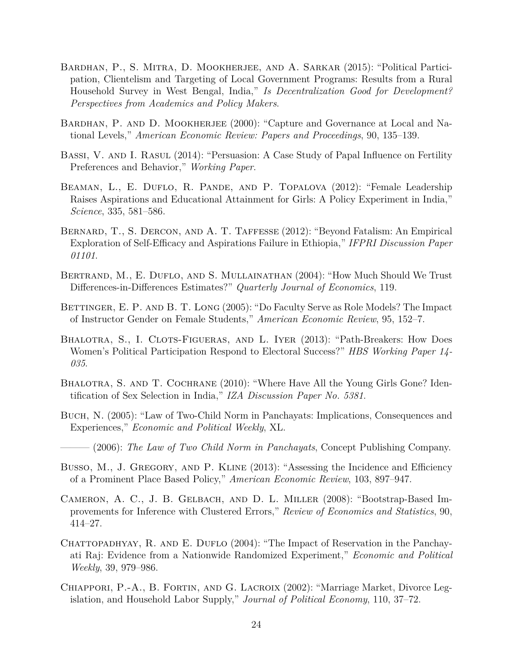- <span id="page-26-5"></span>Bardhan, P., S. Mitra, D. Mookherjee, and A. Sarkar (2015): "Political Participation, Clientelism and Targeting of Local Government Programs: Results from a Rural Household Survey in West Bengal, India," *Is Decentralization Good for Development? Perspectives from Academics and Policy Makers*.
- <span id="page-26-4"></span>BARDHAN, P. AND D. MOOKHERJEE (2000): "Capture and Governance at Local and National Levels," *American Economic Review: Papers and Proceedings*, 90, 135–139.
- <span id="page-26-3"></span>BASSI, V. AND I. RASUL (2014): "Persuasion: A Case Study of Papal Influence on Fertility Preferences and Behavior," *Working Paper*.
- <span id="page-26-1"></span>Beaman, L., E. Duflo, R. Pande, and P. Topalova (2012): "Female Leadership Raises Aspirations and Educational Attainment for Girls: A Policy Experiment in India," *Science*, 335, 581–586.
- <span id="page-26-0"></span>BERNARD, T., S. DERCON, AND A. T. TAFFESSE (2012): "Beyond Fatalism: An Empirical Exploration of Self-Efficacy and Aspirations Failure in Ethiopia," *IFPRI Discussion Paper 01101*.
- <span id="page-26-14"></span>Bertrand, M., E. Duflo, and S. Mullainathan (2004): "How Much Should We Trust Differences-in-Differences Estimates?" *Quarterly Journal of Economics*, 119.
- <span id="page-26-2"></span>BETTINGER, E. P. AND B. T. LONG (2005): "Do Faculty Serve as Role Models? The Impact of Instructor Gender on Female Students," *American Economic Review*, 95, 152–7.
- <span id="page-26-8"></span>Bhalotra, S., I. Clots-Figueras, and L. Iyer (2013): "Path-Breakers: How Does Women's Political Participation Respond to Electoral Success?" *HBS Working Paper 14- 035*.
- <span id="page-26-6"></span>BHALOTRA, S. AND T. COCHRANE (2010): "Where Have All the Young Girls Gone? Identification of Sex Selection in India," *IZA Discussion Paper No. 5381*.
- <span id="page-26-10"></span>Buch, N. (2005): "Law of Two-Child Norm in Panchayats: Implications, Consequences and Experiences," *Economic and Political Weekly*, XL.
- <span id="page-26-11"></span>——— (2006): *The Law of Two Child Norm in Panchayats*, Concept Publishing Company.
- <span id="page-26-13"></span>Busso, M., J. GREGORY, AND P. KLINE (2013): "Assessing the Incidence and Efficiency of a Prominent Place Based Policy," *American Economic Review*, 103, 897–947.
- <span id="page-26-12"></span>Cameron, A. C., J. B. Gelbach, and D. L. Miller (2008): "Bootstrap-Based Improvements for Inference with Clustered Errors," *Review of Economics and Statistics*, 90, 414–27.
- <span id="page-26-7"></span>CHATTOPADHYAY, R. AND E. DUFLO  $(2004)$ : "The Impact of Reservation in the Panchayati Raj: Evidence from a Nationwide Randomized Experiment," *Economic and Political Weekly*, 39, 979–986.
- <span id="page-26-9"></span>CHIAPPORI, P.-A., B. FORTIN, AND G. LACROIX (2002): "Marriage Market, Divorce Legislation, and Household Labor Supply," *Journal of Political Economy*, 110, 37–72.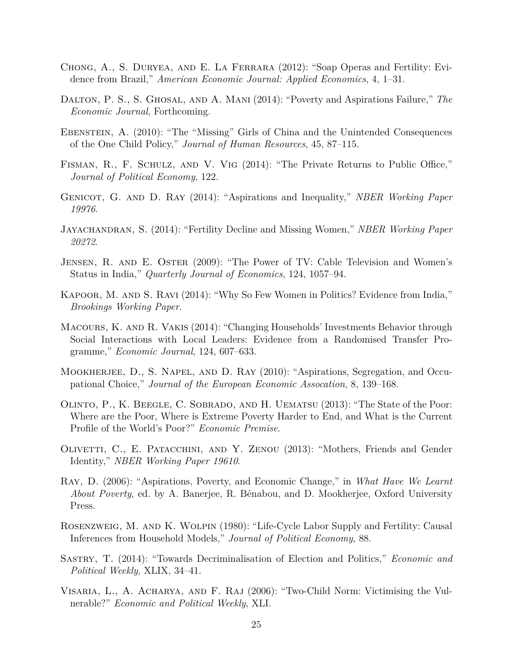- <span id="page-27-6"></span>Chong, A., S. Duryea, and E. La Ferrara (2012): "Soap Operas and Fertility: Evidence from Brazil," *American Economic Journal: Applied Economics*, 4, 1–31.
- <span id="page-27-3"></span>Dalton, P. S., S. Ghosal, and A. Mani (2014): "Poverty and Aspirations Failure," *The Economic Journal*, Forthcoming.
- <span id="page-27-10"></span>Ebenstein, A. (2010): "The "Missing" Girls of China and the Unintended Consequences of the One Child Policy," *Journal of Human Resources*, 45, 87–115.
- <span id="page-27-14"></span>Fisman, R., F. Schulz, and V. Vig (2014): "The Private Returns to Public Office," *Journal of Political Economy*, 122.
- <span id="page-27-4"></span>Genicot, G. and D. Ray (2014): "Aspirations and Inequality," *NBER Working Paper 19976*.
- <span id="page-27-11"></span>Jayachandran, S. (2014): "Fertility Decline and Missing Women," *NBER Working Paper 20272*.
- <span id="page-27-5"></span>Jensen, R. and E. Oster (2009): "The Power of TV: Cable Television and Women's Status in India," *Quarterly Journal of Economics*, 124, 1057–94.
- <span id="page-27-8"></span>Kapoor, M. and S. Ravi (2014): "Why So Few Women in Politics? Evidence from India," *Brookings Working Paper*.
- <span id="page-27-2"></span>Macours, K. and R. Vakis (2014): "Changing Households' Investments Behavior through Social Interactions with Local Leaders: Evidence from a Randomised Transfer Programme," *Economic Journal*, 124, 607–633.
- <span id="page-27-0"></span>MOOKHERJEE, D., S. NAPEL, AND D. RAY (2010): "Aspirations, Segregation, and Occupational Choice," *Journal of the European Economic Assocation*, 8, 139–168.
- <span id="page-27-12"></span>Olinto, P., K. Beegle, C. Sobrado, and H. Uematsu (2013): "The State of the Poor: Where are the Poor, Where is Extreme Poverty Harder to End, and What is the Current Profile of the World's Poor?" *Economic Premise*.
- <span id="page-27-7"></span>Olivetti, C., E. Patacchini, and Y. Zenou (2013): "Mothers, Friends and Gender Identity," *NBER Working Paper 19610*.
- <span id="page-27-1"></span>Ray, D. (2006): "Aspirations, Poverty, and Economic Change," in *What Have We Learnt About Poverty*, ed. by A. Banerjee, R. Bénabou, and D. Mookherjee, Oxford University Press.
- <span id="page-27-9"></span>Rosenzweig, M. and K. Wolpin (1980): "Life-Cycle Labor Supply and Fertility: Causal Inferences from Household Models," *Journal of Political Economy*, 88.
- <span id="page-27-13"></span>Sastry, T. (2014): "Towards Decriminalisation of Election and Politics," *Economic and Political Weekly*, XLIX, 34–41.
- <span id="page-27-15"></span>Visaria, L., A. Acharya, and F. Raj (2006): "Two-Child Norm: Victimising the Vulnerable?" *Economic and Political Weekly*, XLI.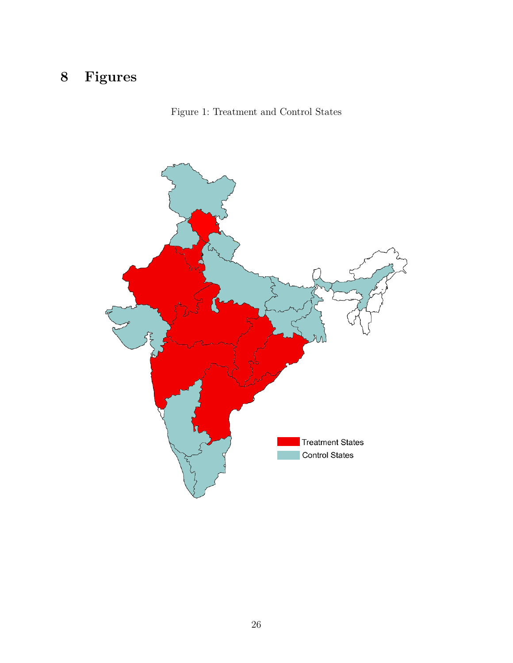# <span id="page-28-0"></span>**Figures**



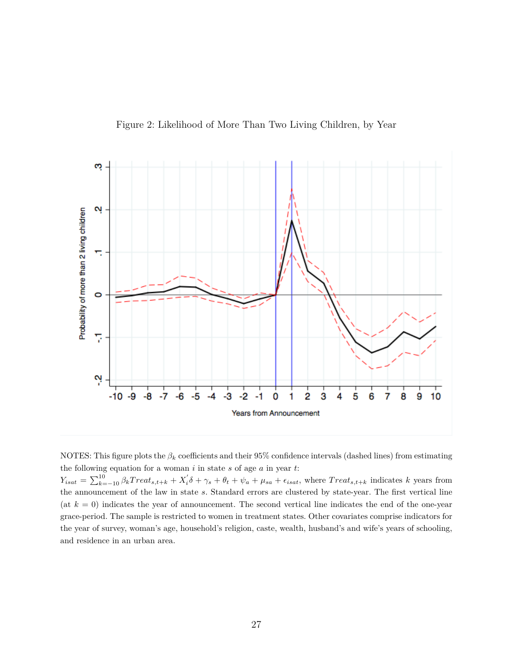Figure 2: Likelihood of More Than Two Living Children, by Year

<span id="page-29-0"></span>

NOTES: This figure plots the  $\beta_k$  coefficients and their 95% confidence intervals (dashed lines) from estimating the following equation for a woman *i* in state *s* of age *a* in year *t*:

 $Y_{isat} = \sum_{k=-10}^{10} \beta_k Treat_{s,t+k} + X_i' \delta + \gamma_s + \theta_t + \psi_a + \mu_{sa} + \epsilon_{isat}$ , where  $Treat_{s,t+k}$  indicates k years from the announcement of the law in state *s*. Standard errors are clustered by state-year. The first vertical line (at  $k = 0$ ) indicates the year of announcement. The second vertical line indicates the end of the one-year grace-period. The sample is restricted to women in treatment states. Other covariates comprise indicators for the year of survey, woman's age, household's religion, caste, wealth, husband's and wife's years of schooling, and residence in an urban area.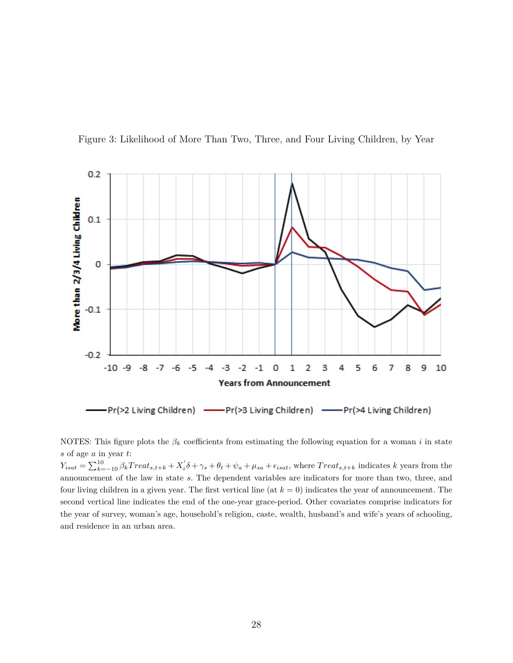

<span id="page-30-0"></span>Figure 3: Likelihood of More Than Two, Three, and Four Living Children, by Year

NOTES: This figure plots the  $\beta_k$  coefficients from estimating the following equation for a woman *i* in state *s* of age *a* in year *t*:

 $Y_{isat} = \sum_{k=-10}^{10} \beta_k Treat_{s,t+k} + X_i' \delta + \gamma_s + \theta_t + \psi_a + \mu_{sa} + \epsilon_{isat}$ , where  $Treat_{s,t+k}$  indicates k years from the announcement of the law in state *s*. The dependent variables are indicators for more than two, three, and four living children in a given year. The first vertical line (at *k* = 0) indicates the year of announcement. The second vertical line indicates the end of the one-year grace-period. Other covariates comprise indicators for the year of survey, woman's age, household's religion, caste, wealth, husband's and wife's years of schooling, and residence in an urban area.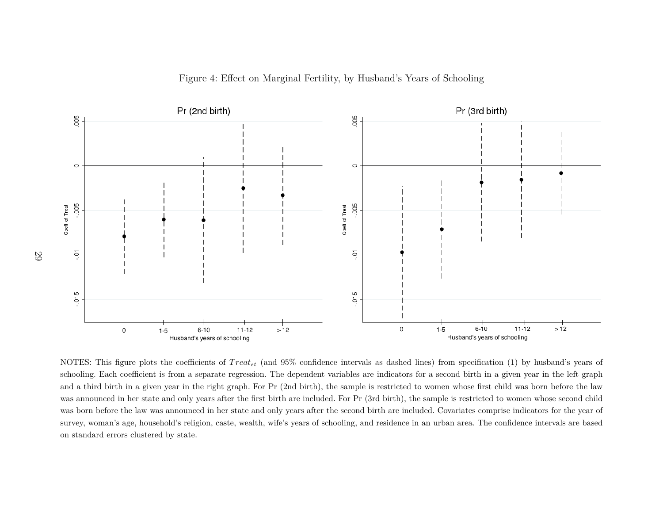



<span id="page-31-0"></span>NOTES: This figure plots the coefficients of  $Treat_{st}$  (and 95% confidence intervals as dashed lines) from specification (1) by husband's years of schooling. Each coefficient is from <sup>a</sup> separate regression. The dependent variables are indicators for <sup>a</sup> second birth in <sup>a</sup> given year in the left graph and <sup>a</sup> third birth in <sup>a</sup> <sup>g</sup>iven year in the right graph. For Pr (2nd birth), the sample is restricted to women whose first child was born before the law was announced in her state and only years after the first birth are included. For Pr (3rd birth), the sample is restricted to women whose second child was born before the law was announced in her state and only years after the second birth are included. Covariates comprise indicators for the year ofsurvey, woman's age, household's religion, caste, wealth, wife's years of schooling, and residence in an urban area. The confidence intervals are basedon standard errors clustered by state.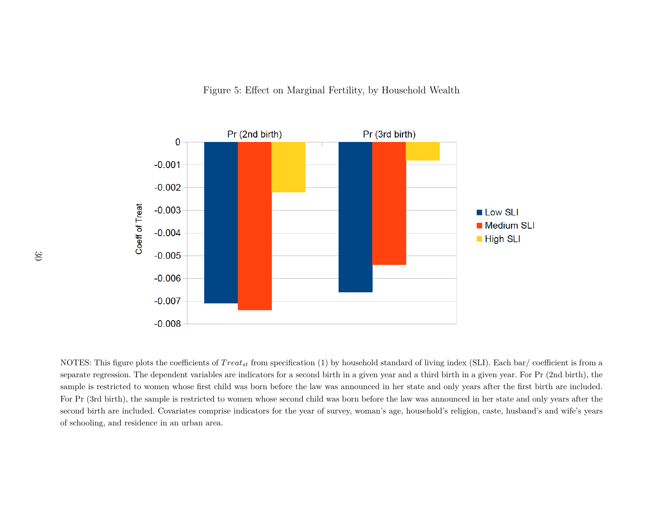

<span id="page-32-0"></span>NOTES: This figure plots the coefficients of  $Treat_{st}$  from specification (1) by household standard of living index (SLI). Each bar/ coefficient is from a separate regression. The dependent variables are indicators for <sup>a</sup> second birth in <sup>a</sup> <sup>g</sup>iven year and <sup>a</sup> third birth in <sup>a</sup> <sup>g</sup>iven year. For Pr (2nd birth), thesample is restricted to women whose first child was born before the law was announced in her state and only years after the first birth are included.For Pr (3rd birth), the sample is restricted to women whose second child was born before the law was announced in her state and only years after thesecond birth are included. Covariates comprise indicators for the year of survey, woman's age, household's religion, caste, husband's and wife's yearsof schooling, and residence in an urban area.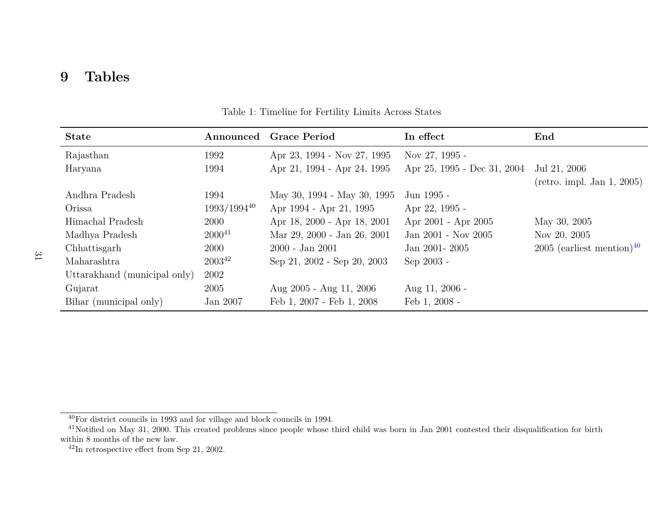#### <span id="page-33-0"></span>**9Tables**

| <b>State</b>                 | Announced   | <b>Grace Period</b>         | In effect                                | End                                     |
|------------------------------|-------------|-----------------------------|------------------------------------------|-----------------------------------------|
| Rajasthan                    | 1992        | Apr 23, 1994 - Nov 27, 1995 | Nov 27, 1995 -                           |                                         |
| Haryana                      | 1994        | Apr 21, 1994 - Apr 24, 1995 | Apr 25, 1995 - Dec 31, 2004 Jul 21, 2006 |                                         |
|                              |             |                             |                                          | $(\text{retro. impl. Jan } 1, 2005)$    |
| Andhra Pradesh               | 1994        | May 30, 1994 - May 30, 1995 | Jun 1995 -                               |                                         |
| Orissa                       | 1993/199440 | Apr 1994 - Apr 21, 1995     | Apr 22, 1995 -                           |                                         |
| Himachal Pradesh             | 2000        | Apr 18, 2000 - Apr 18, 2001 | Apr 2001 - Apr 2005                      | May 30, 2005                            |
| Madhya Pradesh               | $2000^{41}$ | Mar 29, 2000 - Jan 26, 2001 | Jan 2001 - Nov 2005                      | Nov 20, 2005                            |
| Chhattisgarh                 | 2000        | $2000 - Jan\ 2001$          | Jan 2001-2005                            | $2005$ (earliest mention) <sup>40</sup> |
| Maharashtra                  | $2003^{42}$ | Sep 21, 2002 - Sep 20, 2003 | Sep 2003 -                               |                                         |
| Uttarakhand (municipal only) | 2002        |                             |                                          |                                         |
| Gujarat                      | 2005        | Aug $2005$ - Aug 11, 2006   | Aug 11, 2006 -                           |                                         |
| Bihar (municipal only)       | Jan 2007    | Feb 1, 2007 - Feb 1, 2008   | Feb 1, 2008 -                            |                                         |

Table 1: Timeline for Fertility Limits Across States

<sup>40</sup>For district councils in <sup>1993</sup> and for village and block councils in 1994.

 $^{41}$ Notified on May 31, 2000. This created problems since people whose third child was born in Jan 2001 contested their disqualification for birth within 8 months of the new law.

 $^{42}$ In retrospective effect from Sep 21, 2002.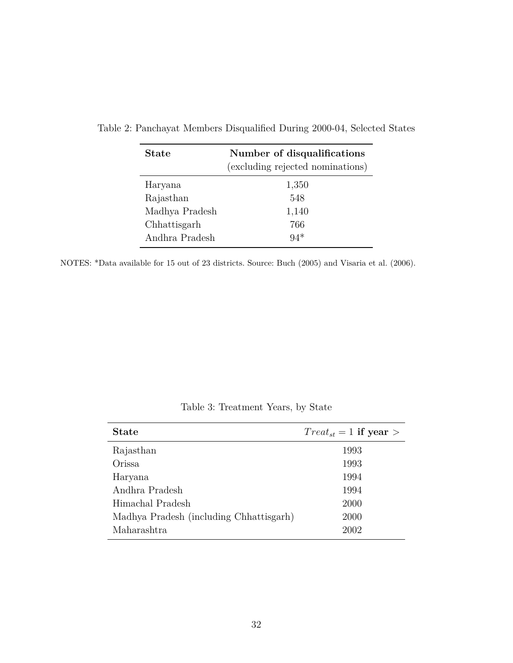| <b>State</b>   | Number of disqualifications<br>(excluding rejected nominations) |
|----------------|-----------------------------------------------------------------|
| Haryana        | 1,350                                                           |
| Rajasthan      | 548                                                             |
| Madhya Pradesh | 1,140                                                           |
| Chhattisgarh   | 766                                                             |
| Andhra Pradesh | $94*$                                                           |

<span id="page-34-0"></span>Table 2: Panchayat Members Disqualified During 2000-04, Selected States

NOTES: \*Data available for 15 out of 23 districts. Source: [Buch](#page-26-10) [\(2005\)](#page-26-10) and [Visaria et al.](#page-27-15) [\(2006\)](#page-27-15).

<span id="page-34-1"></span>

| <b>State</b>                            | $Treat_{st} = 1$ if year > |
|-----------------------------------------|----------------------------|
| Rajasthan                               | 1993                       |
| Orissa                                  | 1993                       |
| Haryana                                 | 1994                       |
| Andhra Pradesh                          | 1994                       |
| Himachal Pradesh                        | 2000                       |
| Madhya Pradesh (including Chhattisgarh) | 2000                       |
| Maharashtra                             | 2002                       |

Table 3: Treatment Years, by State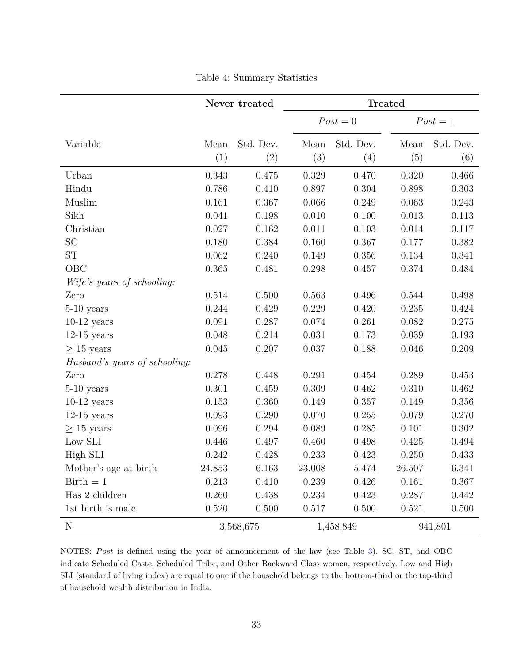<span id="page-35-0"></span>

|                               | Never treated |           |        | <b>Treated</b> |        |            |  |
|-------------------------------|---------------|-----------|--------|----------------|--------|------------|--|
|                               |               |           |        | $Post = 0$     |        | $Post = 1$ |  |
| Variable                      | Mean          | Std. Dev. | Mean   | Std. Dev.      | Mean   | Std. Dev.  |  |
|                               | (1)           | (2)       | (3)    | (4)            | (5)    | (6)        |  |
| Urban                         | 0.343         | 0.475     | 0.329  | 0.470          | 0.320  | 0.466      |  |
| Hindu                         | 0.786         | 0.410     | 0.897  | 0.304          | 0.898  | 0.303      |  |
| Muslim                        | 0.161         | 0.367     | 0.066  | 0.249          | 0.063  | 0.243      |  |
| Sikh                          | 0.041         | 0.198     | 0.010  | 0.100          | 0.013  | 0.113      |  |
| Christian                     | 0.027         | 0.162     | 0.011  | 0.103          | 0.014  | 0.117      |  |
| <b>SC</b>                     | 0.180         | 0.384     | 0.160  | 0.367          | 0.177  | 0.382      |  |
| ${\rm ST}$                    | 0.062         | 0.240     | 0.149  | 0.356          | 0.134  | 0.341      |  |
| OBC                           | 0.365         | 0.481     | 0.298  | 0.457          | 0.374  | 0.484      |  |
| Wife's years of schooling:    |               |           |        |                |        |            |  |
| Zero                          | 0.514         | 0.500     | 0.563  | 0.496          | 0.544  | 0.498      |  |
| $5-10$ years                  | 0.244         | 0.429     | 0.229  | 0.420          | 0.235  | 0.424      |  |
| $10-12$ years                 | 0.091         | 0.287     | 0.074  | 0.261          | 0.082  | 0.275      |  |
| $12-15$ years                 | 0.048         | 0.214     | 0.031  | 0.173          | 0.039  | 0.193      |  |
| $\geq 15$ years               | 0.045         | 0.207     | 0.037  | 0.188          | 0.046  | 0.209      |  |
| Husband's years of schooling: |               |           |        |                |        |            |  |
| Zero                          | 0.278         | 0.448     | 0.291  | 0.454          | 0.289  | 0.453      |  |
| $5-10$ years                  | 0.301         | 0.459     | 0.309  | 0.462          | 0.310  | 0.462      |  |
| $10-12$ years                 | 0.153         | 0.360     | 0.149  | 0.357          | 0.149  | 0.356      |  |
| $12-15$ years                 | 0.093         | 0.290     | 0.070  | 0.255          | 0.079  | 0.270      |  |
| $\geq 15$ years               | 0.096         | 0.294     | 0.089  | 0.285          | 0.101  | 0.302      |  |
| Low SLI                       | 0.446         | 0.497     | 0.460  | 0.498          | 0.425  | 0.494      |  |
| High SLI                      | 0.242         | 0.428     | 0.233  | 0.423          | 0.250  | 0.433      |  |
| Mother's age at birth         | 24.853        | 6.163     | 23.008 | 5.474          | 26.507 | 6.341      |  |
| $Birth = 1$                   | 0.213         | 0.410     | 0.239  | 0.426          | 0.161  | 0.367      |  |
| Has 2 children                | 0.260         | 0.438     | 0.234  | 0.423          | 0.287  | 0.442      |  |
| 1st birth is male             | 0.520         | 0.500     | 0.517  | 0.500          | 0.521  | 0.500      |  |
| $\mathbf N$                   |               | 3,568,675 |        | 1,458,849      |        | 941,801    |  |

Table 4: Summary Statistics

NOTES: Post is defined using the year of announcement of the law (see Table [3\)](#page-34-1). SC, ST, and OBC indicate Scheduled Caste, Scheduled Tribe, and Other Backward Class women, respectively. Low and High SLI (standard of living index) are equal to one if the household belongs to the bottom-third or the top-third of household wealth distribution in India.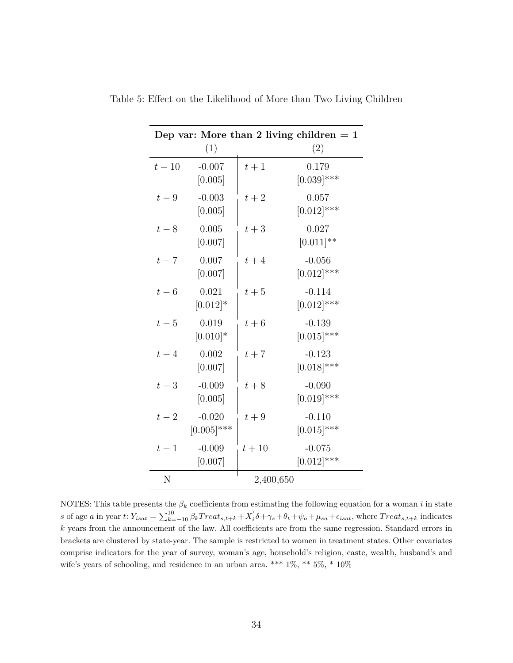|        | (1)                       |           | Dep var: More than 2 living children $= 1$<br>(2) |
|--------|---------------------------|-----------|---------------------------------------------------|
| $t-10$ | $-0.007$<br>[0.005]       | $t+1$     | 0.179<br>$[0.039]$ ***                            |
| $t-9$  | $-0.003$<br>[0.005]       | $t+2$     | 0.057<br>$[0.012]$ ***                            |
| $t-8$  | 0.005<br>[0.007]          | $t+3$     | 0.027<br>$[0.011]$ **                             |
| $t-7$  | 0.007<br>[0.007]          | $t+4$     | $-0.056$<br>$[0.012]$ ***                         |
| $t-6$  | 0.021<br>$[0.012]*$       | $t+5$     | $-0.114$<br>$[0.012]$ ***                         |
| $t-5$  | 0.019<br>$[0.010]*$       | $t+6$     | $-0.139$<br>$[0.015]$ ***                         |
| $t-4$  | 0.002<br>[0.007]          | $t+7$     | $-0.123$<br>$[0.018]$ ***                         |
| $t-3$  | $-0.009$<br>[0.005]       | $t+8$     | $-0.090$<br>$[0.019]$ ***                         |
| $t-2$  | $-0.020$<br>$[0.005]$ *** | $t+9$     | $-0.110$<br>$[0.015]$ ***                         |
| $t-1$  | $-0.009$<br>[0.007]       | $t+10$    | $-0.075$<br>$[0.012]$ ***                         |
| N      |                           | 2,400,650 |                                                   |

<span id="page-36-0"></span>Table 5: Effect on the Likelihood of More than Two Living Children

NOTES: This table presents the  $\beta_k$  coefficients from estimating the following equation for a woman *i* in state s of age a in year t:  $Y_{isat} = \sum_{k=-10}^{10} \beta_k Treat_{s,t+k} + X_i' \delta + \gamma_s + \theta_t + \psi_a + \mu_{sa} + \epsilon_{isat}$ , where  $Treat_{s,t+k}$  indicates *k* years from the announcement of the law. All coefficients are from the same regression. Standard errors in brackets are clustered by state-year. The sample is restricted to women in treatment states. Other covariates comprise indicators for the year of survey, woman's age, household's religion, caste, wealth, husband's and wife's years of schooling, and residence in an urban area. \*\*\*  $1\%,$  \*\*  $5\%,$  \*  $10\%$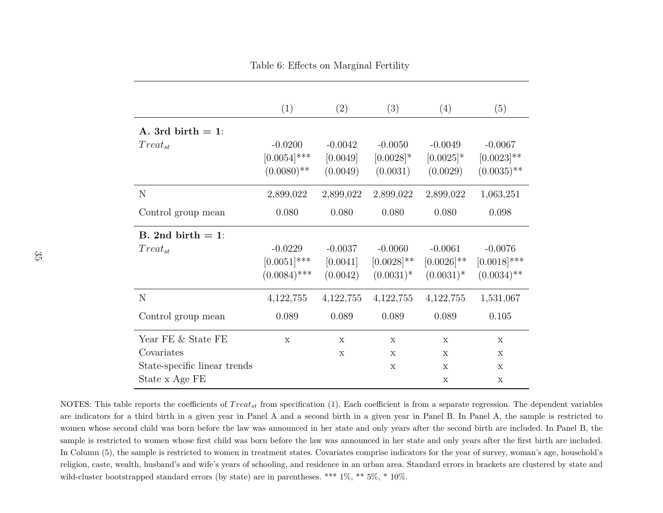Table 6: Effects on Marginal Fertility

<span id="page-37-1"></span>

|                              | (1)            | (2)         | (3)           | (4)           | (5)            |
|------------------------------|----------------|-------------|---------------|---------------|----------------|
| A. 3rd birth $= 1$ :         |                |             |               |               |                |
| $Treat_{st}$                 | $-0.0200$      | $-0.0042$   | $-0.0050$     | $-0.0049$     | $-0.0067$      |
|                              | $[0.0054]$ *** | [0.0049]    | $[0.0028]$ *  | $[0.0025]$ *  | $[0.0023]$ **  |
|                              | $(0.0080)$ **  | (0.0049)    | (0.0031)      | (0.0029)      | $(0.0035)$ **  |
| N                            | 2,899,022      | 2,899,022   | 2,899,022     | 2,899,022     | 1,063,251      |
| Control group mean           | 0.080          | 0.080       | 0.080         | 0.080         | 0.098          |
| B. 2nd birth $= 1$ :         |                |             |               |               |                |
| $Treat_{st}$                 | $-0.0229$      | $-0.0037$   | $-0.0060$     | $-0.0061$     | $-0.0076$      |
|                              | $[0.0051]$ *** | [0.0041]    | $[0.0028]$ ** | $[0.0026]$ ** | $[0.0018]$ *** |
|                              | $(0.0084)$ *** | (0.0042)    | $(0.0031)^*$  | $(0.0031)^*$  | $(0.0034)$ **  |
| N                            | 4,122,755      | 4, 122, 755 | 4, 122, 755   | 4, 122, 755   | 1,531,067      |
| Control group mean           | 0.089          | 0.089       | 0.089         | 0.089         | 0.105          |
| Year FE & State FE           | $\mathbf X$    | $\mathbf x$ | $\mathbf{x}$  | X             | $\mathbf x$    |
| Covariates                   |                | X           | $\mathbf{x}$  | X             | $\mathbf x$    |
| State-specific linear trends |                |             | X             | X             | $\mathbf x$    |
| State x Age FE               |                |             |               | X             | $\mathbf x$    |

<span id="page-37-0"></span>NOTES: This table reports the coefficients of  $Treat_{st}$  from specification (1). Each coefficient is from a separate regression. The dependent variables are indicators for <sup>a</sup> third birth in <sup>a</sup> given year in Panel A and <sup>a</sup> second birth in <sup>a</sup> given year in Panel B. In Panel A, the sample is restricted to women whose second child was born before the law was announced in her state and only years after the second birth are included. In Panel B, thesample is restricted to women whose first child was born before the law was announced in her state and only years after the first birth are included.In Column (5), the sample is restricted to women in treatment states. Covariates comprise indicators for the year of survey, woman's age, household'sreligion, caste, wealth, husband's and wife's years of schooling, and residence in an urban area. Standard errors in brackets are clustered by state andwild-cluster bootstrapped standard errors (by state) are in parentheses. \*\*\*  $1\%$ , \*\*  $5\%$ , \*  $10\%$ .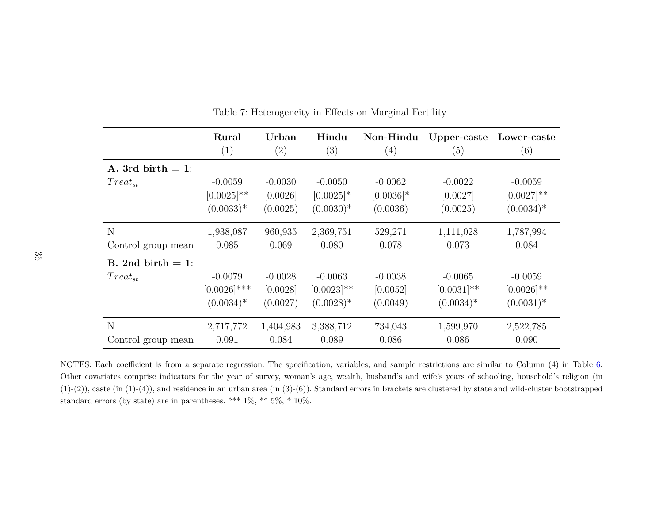|                      | Rural          | Urban             | Hindu         | Non-Hindu    | Upper-caste   | Lower-caste   |
|----------------------|----------------|-------------------|---------------|--------------|---------------|---------------|
|                      | (1)            | $\left( 2\right)$ | (3)           | (4)          | (5)           | (6)           |
| A. 3rd birth $= 1$ : |                |                   |               |              |               |               |
| $Treat_{st}$         | $-0.0059$      | $-0.0030$         | $-0.0050$     | $-0.0062$    | $-0.0022$     | $-0.0059$     |
|                      | $[0.0025]$ **  | [0.0026]          | $[0.0025]$ *  | $[0.0036]$ * | [0.0027]      | $[0.0027]$ ** |
|                      | $(0.0033)*$    | (0.0025)          | $(0.0030)*$   | (0.0036)     | (0.0025)      | $(0.0034)^*$  |
| N                    | 1,938,087      | 960,935           | 2,369,751     | 529,271      | 1,111,028     | 1,787,994     |
| Control group mean   | 0.085          | 0.069             | 0.080         | 0.078        | 0.073         | 0.084         |
| B. 2nd birth $= 1$ : |                |                   |               |              |               |               |
| $Treat_{st}$         | $-0.0079$      | $-0.0028$         | $-0.0063$     | $-0.0038$    | $-0.0065$     | $-0.0059$     |
|                      | $[0.0026]$ *** | [0.0028]          | $[0.0023]$ ** | [0.0052]     | $[0.0031]$ ** | $[0.0026]$ ** |
|                      | $(0.0034)*$    | (0.0027)          | $(0.0028)*$   | (0.0049)     | $(0.0034)*$   | $(0.0031)^*$  |
| N                    | 2,717,772      | 1,404,983         | 3,388,712     | 734,043      | 1,599,970     | 2,522,785     |
| Control group mean   | 0.091          | 0.084             | 0.089         | 0.086        | 0.086         | 0.090         |

Table 7: Heterogeneity in Effects on Marginal Fertility

<span id="page-38-0"></span>NOTES: Each coefficient is from <sup>a</sup> separate regression. The specification, variables, and sample restrictions are similar to Column (4) in Table [6.](#page-37-1) Other covariates comprise indicators for the year of survey, woman's age, wealth, husband's and wife's years of schooling, household's religion (in $(1)-(2)$ , caste (in  $(1)-(4)$ ), and residence in an urban area (in  $(3)-(6)$ ). Standard errors in brackets are clustered by state and wild-cluster bootstrapped standard errors (by state) are in parentheses. \*\*\*  $1\%$ , \*\*  $5\%$ , \*  $10\%.$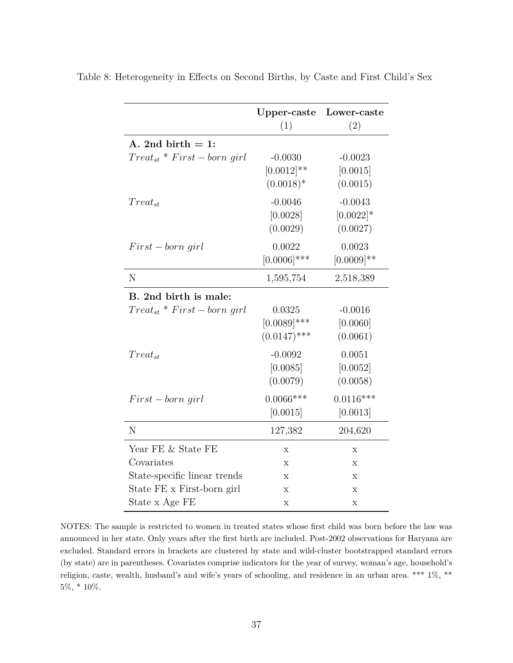|                                   | Upper-caste    | Lower-caste   |
|-----------------------------------|----------------|---------------|
|                                   | (1)            | (2)           |
| A. 2nd birth $= 1$ :              |                |               |
| $Treat_{st} * First - born\ girl$ | $-0.0030$      | $-0.0023$     |
|                                   | $[0.0012]$ **  | [0.0015]      |
|                                   | $(0.0018)*$    | (0.0015)      |
| $Treat_{st}$                      | $-0.0046$      | $-0.0043$     |
|                                   | [0.0028]       | $[0.0022]$ *  |
|                                   | (0.0029)       | (0.0027)      |
| $First - born\ girl$              | 0.0022         | 0.0023        |
|                                   | $[0.0006]$ *** | $[0.0009]$ ** |
| N                                 | 1,595,754      | 2,518,389     |
| B. 2nd birth is male:             |                |               |
| $Treat_{st} * First - born\ girl$ | 0.0325         | $-0.0016$     |
|                                   | $[0.0089]$ *** | [0.0060]      |
|                                   | $(0.0147)$ *** | (0.0061)      |
| $Treat_{st}$                      | $-0.0092$      | 0.0051        |
|                                   | [0.0085]       | [0.0052]      |
|                                   | (0.0079)       | (0.0058)      |
| $First - born$ qirl               | $0.0066***$    | $0.0116***$   |
|                                   | [0.0015]       | [0.0013]      |
| N                                 | 127,382        | 204,620       |
| Year FE & State FE                | X              | X             |
| Covariates                        | X              | X             |
| State-specific linear trends      | X              | X             |
| State FE x First-born girl        | X              | X             |
| State x Age FE                    | Х              | X             |

<span id="page-39-0"></span>Table 8: Heterogeneity in Effects on Second Births, by Caste and First Child's Sex

NOTES: The sample is restricted to women in treated states whose first child was born before the law was announced in her state. Only years after the first birth are included. Post-2002 observations for Haryana are excluded. Standard errors in brackets are clustered by state and wild-cluster bootstrapped standard errors (by state) are in parentheses. Covariates comprise indicators for the year of survey, woman's age, household's religion, caste, wealth, husband's and wife's years of schooling, and residence in an urban area. \*\*\* 1%, \*\* 5%, \* 10%.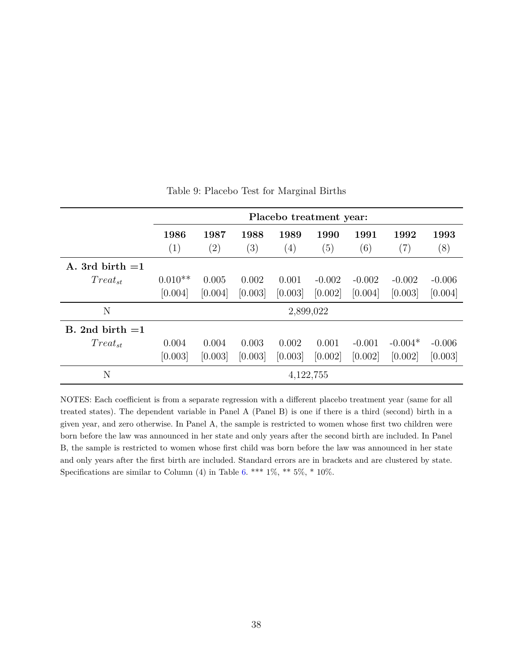<span id="page-40-0"></span>

|                   | Placebo treatment year: |                           |             |                          |             |                          |                           |             |
|-------------------|-------------------------|---------------------------|-------------|--------------------------|-------------|--------------------------|---------------------------|-------------|
|                   | 1986<br>(1)             | 1987<br>$\left( 2\right)$ | 1988<br>(3) | 1989<br>$\left(4\right)$ | 1990<br>(5) | 1991<br>$\left(6\right)$ | 1992<br>$\left( 7\right)$ | 1993<br>(8) |
| A. 3rd birth $=1$ |                         |                           |             |                          |             |                          |                           |             |
| $Treat_{st}$      | $0.010**$               | 0.005                     | 0.002       | 0.001                    | $-0.002$    | $-0.002$                 | $-0.002$                  | $-0.006$    |
|                   | [0.004]                 | [0.004]                   | [0.003]     | [0.003]                  | [0.002]     | [0.004]                  | [0.003]                   | [0.004]     |
| N                 |                         |                           |             | 2,899,022                |             |                          |                           |             |
| B. 2nd birth $=1$ |                         |                           |             |                          |             |                          |                           |             |
| $Treat_{st}$      | 0.004                   | 0.004                     | 0.003       | 0.002                    | 0.001       | $-0.001$                 | $-0.004*$                 | $-0.006$    |
|                   | [0.003]                 | [0.003]                   | [0.003]     | [0.003]                  | [0.002]     | [0.002]                  | [0.002]                   | [0.003]     |
| N                 |                         |                           |             | 4, 122, 755              |             |                          |                           |             |

Table 9: Placebo Test for Marginal Births

NOTES: Each coefficient is from a separate regression with a different placebo treatment year (same for all treated states). The dependent variable in Panel A (Panel B) is one if there is a third (second) birth in a given year, and zero otherwise. In Panel A, the sample is restricted to women whose first two children were born before the law was announced in her state and only years after the second birth are included. In Panel B, the sample is restricted to women whose first child was born before the law was announced in her state and only years after the first birth are included. Standard errors are in brackets and are clustered by state. Specifications are similar to Column (4) in Table [6.](#page-37-0) \*\*\*  $1\%$ , \*\*  $5\%$ , \*  $10\%$ .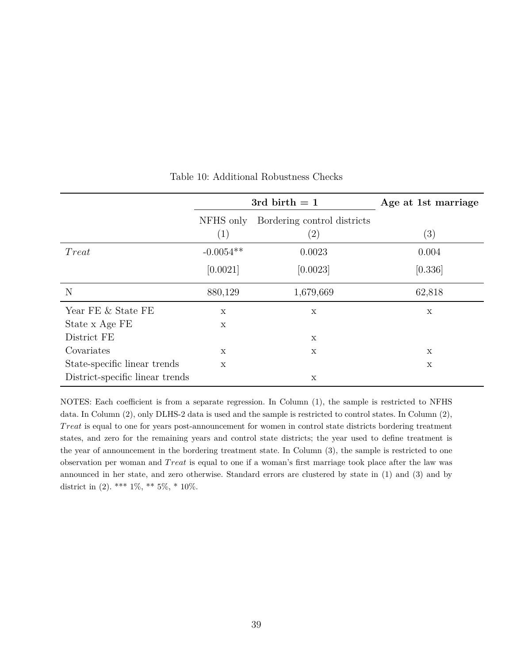<span id="page-41-0"></span>

|                                 |              | 3rd birth $= 1$             | Age at 1st marriage |
|---------------------------------|--------------|-----------------------------|---------------------|
|                                 | NFHS only    | Bordering control districts |                     |
|                                 | (1)          | $\left( 2\right)$           | (3)                 |
| Treat                           | $-0.0054**$  | 0.0023                      | 0.004               |
|                                 | [0.0021]     | [0.0023]                    | [0.336]             |
| N                               | 880,129      | 1,679,669                   | 62,818              |
| Year FE & State FE              | X            | X                           | X                   |
| State x Age FE                  | X            |                             |                     |
| District FE                     |              | X                           |                     |
| Covariates                      | X            | X                           | X                   |
| State-specific linear trends    | $\mathbf{x}$ |                             | X                   |
| District-specific linear trends |              | X                           |                     |

Table 10: Additional Robustness Checks

NOTES: Each coefficient is from a separate regression. In Column (1), the sample is restricted to NFHS data. In Column (2), only DLHS-2 data is used and the sample is restricted to control states. In Column (2), *T reat* is equal to one for years post-announcement for women in control state districts bordering treatment states, and zero for the remaining years and control state districts; the year used to define treatment is the year of announcement in the bordering treatment state. In Column (3), the sample is restricted to one observation per woman and *T reat* is equal to one if a woman's first marriage took place after the law was announced in her state, and zero otherwise. Standard errors are clustered by state in (1) and (3) and by district in (2). \*\*\*  $1\%$ , \*\*  $5\%$ , \*  $10\%$ .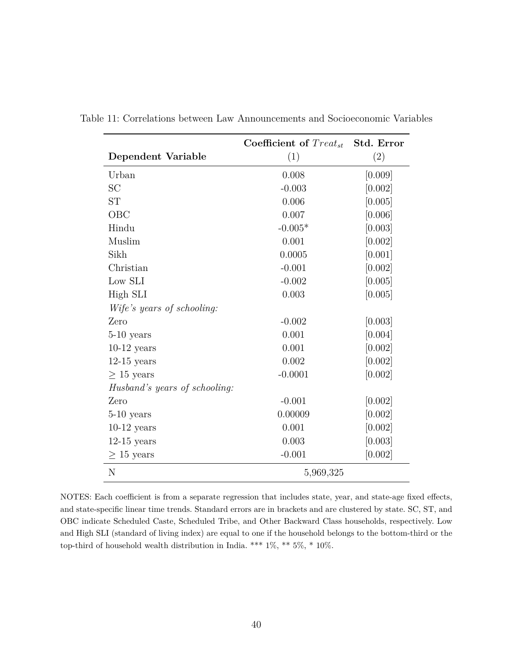|                               | Coefficient of $Treat_{st}$ | Std. Error |
|-------------------------------|-----------------------------|------------|
| Dependent Variable            | (1)                         | (2)        |
| Urban                         | 0.008                       | [0.009]    |
| SC                            | $-0.003$                    | [0.002]    |
| <b>ST</b>                     | 0.006                       | [0.005]    |
| OBC                           | 0.007                       | [0.006]    |
| Hindu                         | $-0.005*$                   | [0.003]    |
| Muslim                        | 0.001                       | [0.002]    |
| Sikh                          | 0.0005                      | [0.001]    |
| Christian                     | $-0.001$                    | [0.002]    |
| Low SLI                       | $-0.002$                    | [0.005]    |
| High SLI                      | 0.003                       | [0.005]    |
| Wife's years of schooling:    |                             |            |
| Zero                          | $-0.002$                    | [0.003]    |
| $5-10$ years                  | 0.001                       | [0.004]    |
| $10-12$ years                 | 0.001                       | [0.002]    |
| $12-15$ years                 | 0.002                       | [0.002]    |
| $\geq 15$ years               | $-0.0001$                   | [0.002]    |
| Husband's years of schooling: |                             |            |
| Zero                          | $-0.001$                    | [0.002]    |
| $5-10$ years                  | 0.00009                     | [0.002]    |
| $10-12$ years                 | 0.001                       | [0.002]    |
| $12-15$ years                 | 0.003                       | [0.003]    |
| $\geq 15$ years               | $-0.001$                    | [0.002]    |
| N                             | 5,969,325                   |            |

<span id="page-42-0"></span>Table 11: Correlations between Law Announcements and Socioeconomic Variables

NOTES: Each coefficient is from a separate regression that includes state, year, and state-age fixed effects, and state-specific linear time trends. Standard errors are in brackets and are clustered by state. SC, ST, and OBC indicate Scheduled Caste, Scheduled Tribe, and Other Backward Class households, respectively. Low and High SLI (standard of living index) are equal to one if the household belongs to the bottom-third or the top-third of household wealth distribution in India. \*\*\* 1%, \*\* 5%, \* 10%.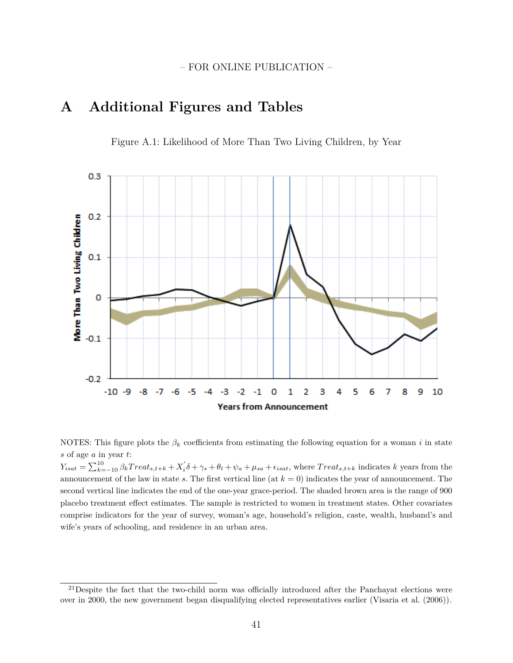## <span id="page-43-0"></span>**A Additional Figures and Tables**





NOTES: This figure plots the  $\beta_k$  coefficients from estimating the following equation for a woman *i* in state *s* of age *a* in year *t*:

 $Y_{isat} = \sum_{k=-10}^{10} \beta_k Treat_{s,t+k} + X_i' \delta + \gamma_s + \theta_t + \psi_a + \mu_{sa} + \epsilon_{isat}$ , where  $Treat_{s,t+k}$  indicates k years from the announcement of the law in state *s*. The first vertical line (at *k* = 0) indicates the year of announcement. The second vertical line indicates the end of the one-year grace-period. The shaded brown area is the range of 900 placebo treatment effect estimates. The sample is restricted to women in treatment states. Other covariates comprise indicators for the year of survey, woman's age, household's religion, caste, wealth, husband's and wife's years of schooling, and residence in an urban area.

 $^{21}$ Despite the fact that the two-child norm was officially introduced after the Panchayat elections were over in 2000, the new government began disqualifying elected representatives earlier [\(Visaria et al.](#page-27-15) [\(2006\)](#page-27-15)).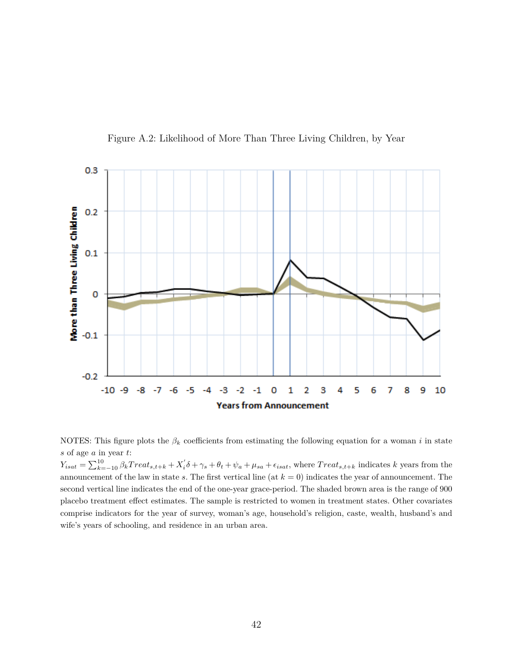<span id="page-44-0"></span>

Figure A.2: Likelihood of More Than Three Living Children, by Year

NOTES: This figure plots the  $\beta_k$  coefficients from estimating the following equation for a woman *i* in state *s* of age *a* in year *t*:

 $Y_{isat} = \sum_{k=-10}^{10} \beta_k Treat_{s,t+k} + X_i' \delta + \gamma_s + \theta_t + \psi_a + \mu_{sa} + \epsilon_{isat}$ , where  $Treat_{s,t+k}$  indicates k years from the announcement of the law in state *s*. The first vertical line (at *k* = 0) indicates the year of announcement. The second vertical line indicates the end of the one-year grace-period. The shaded brown area is the range of 900 placebo treatment effect estimates. The sample is restricted to women in treatment states. Other covariates comprise indicators for the year of survey, woman's age, household's religion, caste, wealth, husband's and wife's years of schooling, and residence in an urban area.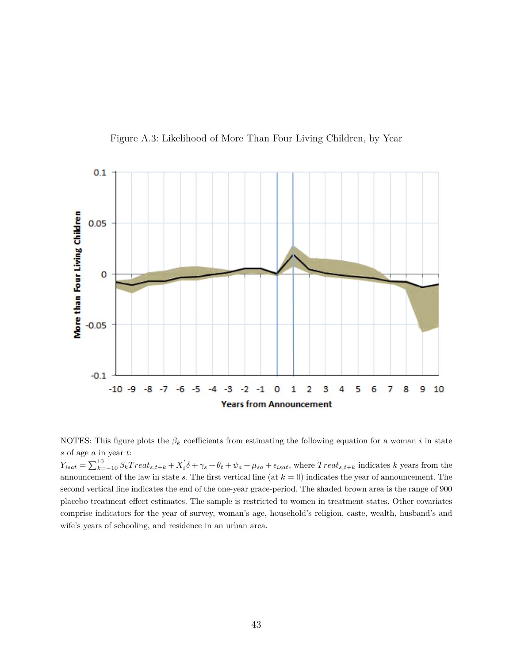<span id="page-45-0"></span>

Figure A.3: Likelihood of More Than Four Living Children, by Year

NOTES: This figure plots the  $\beta_k$  coefficients from estimating the following equation for a woman *i* in state *s* of age *a* in year *t*:

 $Y_{isat} = \sum_{k=-10}^{10} \beta_k Treat_{s,t+k} + X_i' \delta + \gamma_s + \theta_t + \psi_a + \mu_{sa} + \epsilon_{isat}$ , where  $Treat_{s,t+k}$  indicates k years from the announcement of the law in state *s*. The first vertical line (at *k* = 0) indicates the year of announcement. The second vertical line indicates the end of the one-year grace-period. The shaded brown area is the range of 900 placebo treatment effect estimates. The sample is restricted to women in treatment states. Other covariates comprise indicators for the year of survey, woman's age, household's religion, caste, wealth, husband's and wife's years of schooling, and residence in an urban area.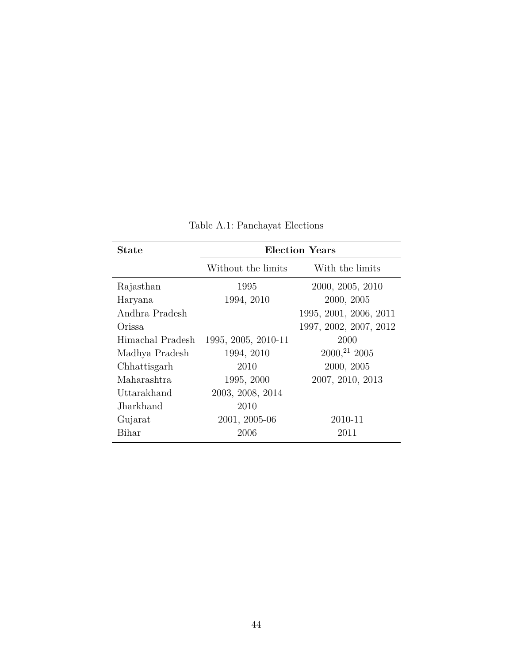<span id="page-46-0"></span>

| <b>State</b>     | <b>Election Years</b> |                               |  |  |  |
|------------------|-----------------------|-------------------------------|--|--|--|
|                  | Without the limits    | With the limits               |  |  |  |
| Rajasthan        | 1995                  | 2000, 2005, 2010              |  |  |  |
| Haryana          | 1994, 2010            | 2000, 2005                    |  |  |  |
| Andhra Pradesh   |                       | 1995, 2001, 2006, 2011        |  |  |  |
| Orissa           |                       | 1997, 2002, 2007, 2012        |  |  |  |
| Himachal Pradesh | 1995, 2005, 2010-11   | 2000                          |  |  |  |
| Madhya Pradesh   | 1994, 2010            | $2000$ <sup>21</sup> , $2005$ |  |  |  |
| Chhattisgarh     | 2010                  | 2000, 2005                    |  |  |  |
| Maharashtra      | 1995, 2000            | 2007, 2010, 2013              |  |  |  |
| Uttarakhand      | 2003, 2008, 2014      |                               |  |  |  |
| Jharkhand        | 2010                  |                               |  |  |  |
| Gujarat          | 2001, 2005-06         | 2010-11                       |  |  |  |
| Bihar            | 2006                  | 2011                          |  |  |  |

Table A.1: Panchayat Elections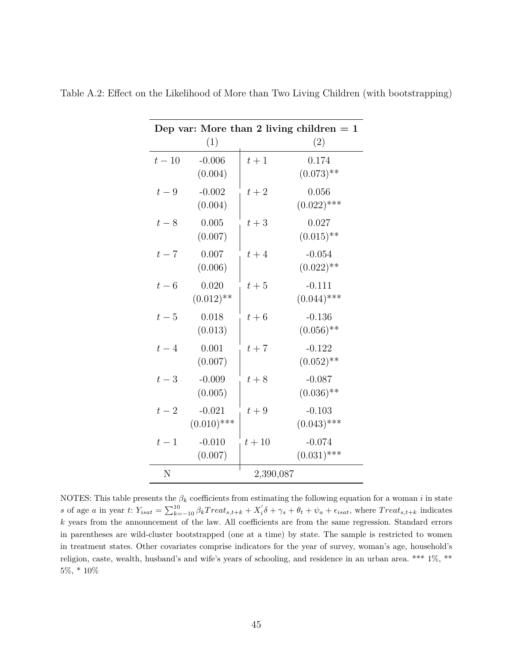| Dep var: More than 2 living children $= 1$ |                           |        |                           |
|--------------------------------------------|---------------------------|--------|---------------------------|
|                                            | (1)                       |        | (2)                       |
| $t-10$                                     | $-0.006$<br>(0.004)       | $t+1$  | 0.174<br>$(0.073)$ **     |
| $t-9$                                      | $-0.002$<br>(0.004)       | $t+2$  | 0.056<br>$(0.022)$ ***    |
| $t-8$                                      | 0.005<br>(0.007)          | $t+3$  | 0.027<br>$(0.015)$ **     |
| $t-7$                                      | 0.007<br>(0.006)          | $t+4$  | $-0.054$<br>$(0.022)$ **  |
| $t-6$                                      | 0.020<br>$(0.012)$ **     | $t+5$  | $-0.111$<br>$(0.044)$ *** |
| $t-5$                                      | 0.018<br>(0.013)          | $t+6$  | $-0.136$<br>$(0.056)$ **  |
| $t-4$                                      | 0.001<br>(0.007)          | $t+7$  | $-0.122$<br>$(0.052)$ **  |
| $t-3$                                      | $-0.009$<br>(0.005)       | $t+8$  | $-0.087$<br>$(0.036)$ **  |
| $t-2$                                      | $-0.021$<br>$(0.010)$ *** | $t+9$  | $-0.103$<br>$(0.043)$ *** |
| $t-1$                                      | $-0.010$<br>(0.007)       | $t+10$ | $-0.074$<br>$(0.031)$ *** |
| Ν                                          | 2,390,087                 |        |                           |

<span id="page-47-0"></span>Table A.2: Effect on the Likelihood of More than Two Living Children (with bootstrapping)

NOTES: This table presents the  $\beta_k$  coefficients from estimating the following equation for a woman *i* in state s of age a in year t:  $Y_{isat} = \sum_{k=-10}^{10} \beta_k Treat_{s,t+k} + X_i' \delta + \gamma_s + \theta_t + \psi_a + \epsilon_{isat}$ , where  $Treat_{s,t+k}$  indicates *k* years from the announcement of the law. All coefficients are from the same regression. Standard errors in parentheses are wild-cluster bootstrapped (one at a time) by state. The sample is restricted to women in treatment states. Other covariates comprise indicators for the year of survey, woman's age, household's religion, caste, wealth, husband's and wife's years of schooling, and residence in an urban area. \*\*\* 1%, \*\* 5%, \* 10%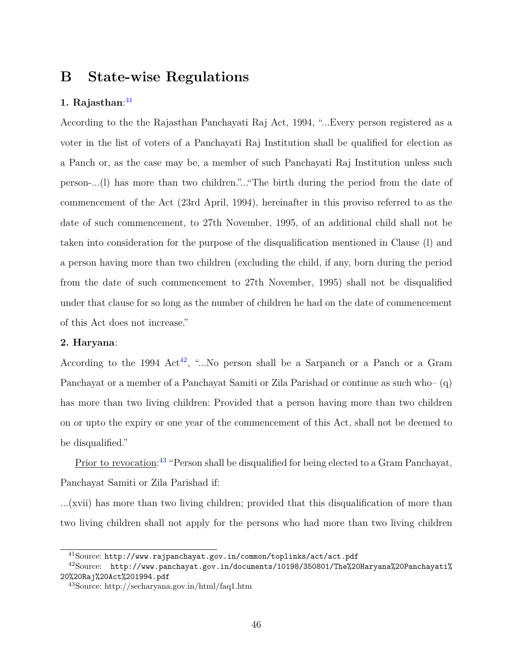## <span id="page-48-0"></span>**B State-wise Regulations**

#### **1. Rajasthan**: [41](#page-48-1)

According to the the Rajasthan Panchayati Raj Act, 1994, "...Every person registered as a voter in the list of voters of a Panchayati Raj Institution shall be qualified for election as a Panch or, as the case may be, a member of such Panchayati Raj Institution unless such person-...(l) has more than two children."..."The birth during the period from the date of commencement of the Act (23rd April, 1994), hereinafter in this proviso referred to as the date of such commencement, to 27th November, 1995, of an additional child shall not be taken into consideration for the purpose of the disqualification mentioned in Clause (l) and a person having more than two children (excluding the child, if any, born during the period from the date of such commencement to 27th November, 1995) shall not be disqualified under that clause for so long as the number of children he had on the date of commencement of this Act does not increase."

#### **2. Haryana**:

According to the 1994  $Act^{42}$  $Act^{42}$  $Act^{42}$ , "...No person shall be a Sarpanch or a Panch or a Gram Panchayat or a member of a Panchayat Samiti or Zila Parishad or continue as such who– (q) has more than two living children: Provided that a person having more than two children on or upto the expiry or one year of the commencement of this Act, shall not be deemed to be disqualified."

Prior to revocation:<sup>[43](#page-48-3)</sup> "Person shall be disqualified for being elected to a Gram Panchayat, Panchayat Samiti or Zila Parishad if:

...(xvii) has more than two living children; provided that this disqualification of more than two living children shall not apply for the persons who had more than two living children

<span id="page-48-2"></span><span id="page-48-1"></span> $^{41}\rm{Source:}\,\text{http://www.rajpanchayat.gov.in/common/toplinks/act/act.pdf}$  $^{41}\rm{Source:}\,\text{http://www.rajpanchayat.gov.in/common/toplinks/act/act.pdf}$  $^{41}\rm{Source:}\,\text{http://www.rajpanchayat.gov.in/common/toplinks/act/act.pdf}$ 

 $^{42}$ Source: [http://www.panchayat.gov.in/documents/10198/350801/The%20Haryana%20Panchayati%](http://www.panchayat.gov.in/documents/10198/350801/The%20Haryana%20Panchayati%20%20Raj%20Act%201994.pdf) [20%20Raj%20Act%201994.pdf](http://www.panchayat.gov.in/documents/10198/350801/The%20Haryana%20Panchayati%20%20Raj%20Act%201994.pdf)

<span id="page-48-3"></span><sup>43</sup>Source: http://secharyana.gov.in/html/faq1.htm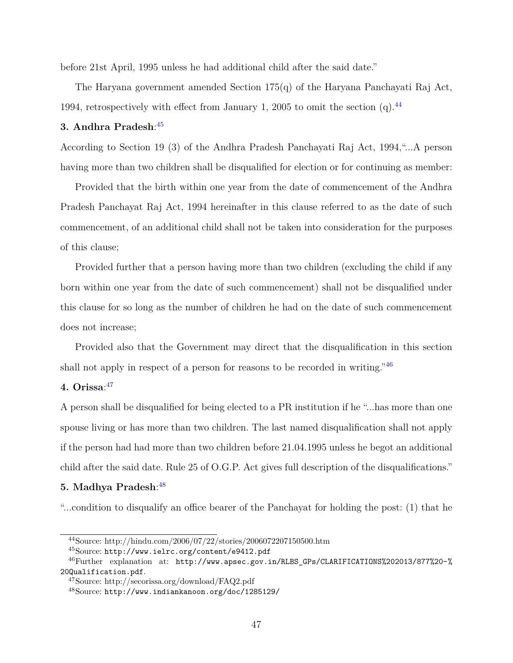before 21st April, 1995 unless he had additional child after the said date."

The Haryana government amended Section 175(q) of the Haryana Panchayati Raj Act, 1994, retrospectively with effect from January 1, 2005 to omit the section  $(q)$ .<sup>[44](#page-49-0)</sup>

#### **3. Andhra Pradesh**: [45](#page-49-1)

According to Section 19 (3) of the Andhra Pradesh Panchayati Raj Act, 1994,"...A person having more than two children shall be disqualified for election or for continuing as member:

Provided that the birth within one year from the date of commencement of the Andhra Pradesh Panchayat Raj Act, 1994 hereinafter in this clause referred to as the date of such commencement, of an additional child shall not be taken into consideration for the purposes of this clause;

Provided further that a person having more than two children (excluding the child if any born within one year from the date of such commencement) shall not be disqualified under this clause for so long as the number of children he had on the date of such commencement does not increase;

Provided also that the Government may direct that the disqualification in this section shall not apply in respect of a person for reasons to be recorded in writing.<sup>"[46](#page-49-2)</sup>

#### **4. Orissa**: [47](#page-49-3)

A person shall be disqualified for being elected to a PR institution if he "...has more than one spouse living or has more than two children. The last named disqualification shall not apply if the person had had more than two children before 21.04.1995 unless he begot an additional child after the said date. Rule 25 of O.G.P. Act gives full description of the disqualifications."

#### **5. Madhya Pradesh**: [48](#page-49-4)

"...condition to disqualify an office bearer of the Panchayat for holding the post: (1) that he

<span id="page-49-0"></span><sup>44</sup>Source: http://hindu.com/2006/07/22/stories/2006072207150500.htm

<span id="page-49-2"></span><span id="page-49-1"></span><sup>45</sup>Source: <http://www.ielrc.org/content/e9412.pdf>

<sup>46</sup>Further explanation at: [http://www.apsec.gov.in/RLBS\\_GPs/CLARIFICATIONS%202013/877%20-%](http://www.apsec.gov.in/RLBS_GPs/CLARIFICATIONS%202013/877%20-%20Qualification.pdf) [20Qualification.pdf](http://www.apsec.gov.in/RLBS_GPs/CLARIFICATIONS%202013/877%20-%20Qualification.pdf).

<span id="page-49-3"></span><sup>47</sup>Source: http://secorissa.org/download/FAQ2.pdf

<span id="page-49-4"></span><sup>48</sup>Source: <http://www.indiankanoon.org/doc/1285129/>